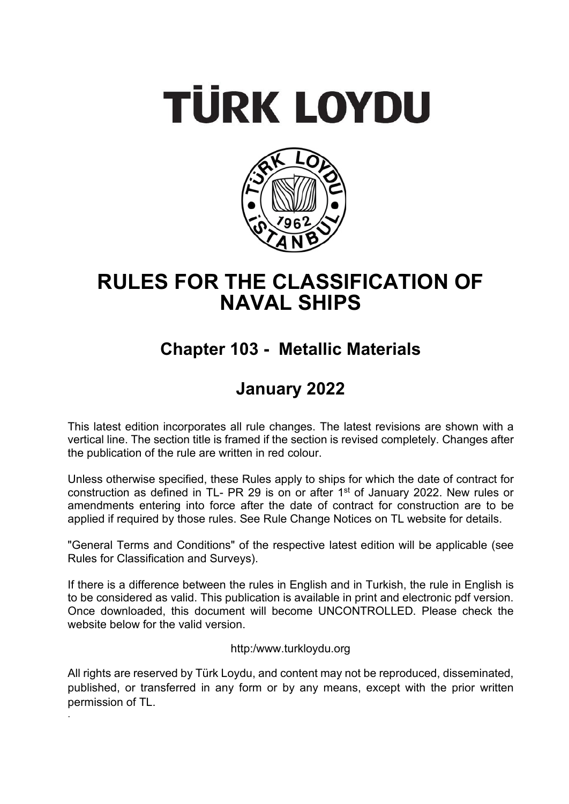# **TÜRK LOYDU**



# **RULES FOR THE CLASSIFICATION OF NAVAL SHIPS**

# **Chapter 103 - Metallic Materials**

## **January 2022**

This latest edition incorporates all rule changes. The latest revisions are shown with a vertical line. The section title is framed if the section is revised completely. Changes after the publication of the rule are written in red colour.

Unless otherwise specified, these Rules apply to ships for which the date of contract for construction as defined in TL- PR 29 is on or after 1<sup>st</sup> of January 2022. New rules or amendments entering into force after the date of contract for construction are to be applied if required by those rules. See Rule Change Notices on TL website for details.

"General Terms and Conditions" of the respective latest edition will be applicable (see Rules for Classification and Surveys).

If there is a difference between the rules in English and in Turkish, the rule in English is to be considered as valid. This publication is available in print and electronic pdf version. Once downloaded, this document will become UNCONTROLLED. Please check the website below for the valid version.

http:/www.turkloydu.org

All rights are reserved by Türk Loydu, and content may not be reproduced, disseminated, published, or transferred in any form or by any means, except with the prior written permission of TL.

.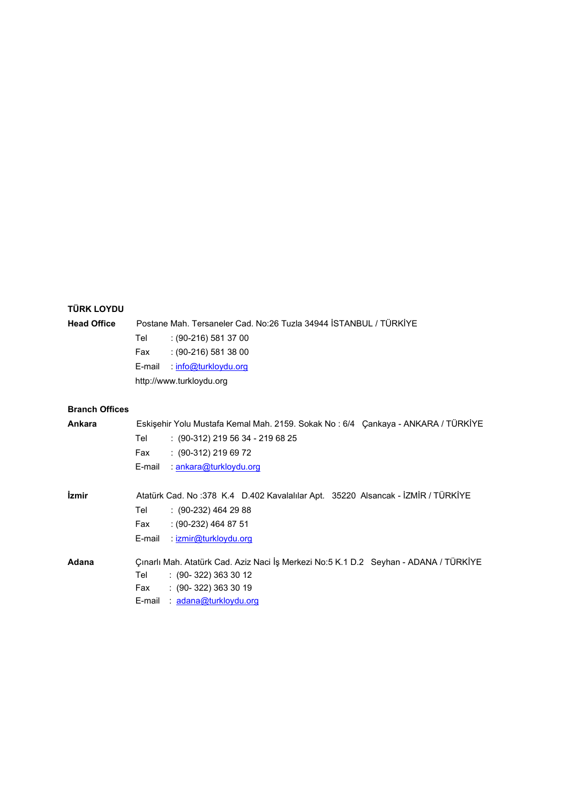## **TÜRK LOYDU**

## **Head Office** Postane Mah. Tersaneler Cad. No:26 Tuzla 34944 İSTANBUL / TÜRKİYE Tel : (90-216) 581 37 00

Fax : (90-216) 581 38 00

E-mail : info@turkloydu.org

http://www.turkloydu.org

## **Branch Offices**

| Ankara                     | Eskişehir Yolu Mustafa Kemal Mah. 2159. Sokak No: 6/4 Çankaya - ANKARA / TÜRKİYE<br>Tel<br>$: (90-312)$ 219 56 34 - 219 68 25<br>$: (90-312) 219 69 72$<br>Fax<br>E-mail<br>: an kara@turkloydu.org |
|----------------------------|-----------------------------------------------------------------------------------------------------------------------------------------------------------------------------------------------------|
| <i><u><b>izmir</b></u></i> | Atatürk Cad. No:378 K.4 D.402 Kavalalılar Apt. 35220 Alsancak - İZMİR / TÜRKİYE<br>Tel<br>$(90-232)$ 464 29 88<br>$: (90-232)$ 464 87 51<br>Fax<br>E-mail<br>$\therefore$ izmir@turkloydu.org       |
| Adana                      | Çınarlı Mah. Atatürk Cad. Aziz Naci İş Merkezi No:5 K.1 D.2 Seyhan - ADANA / TÜRKİYE<br>$(90-322)3633012$<br>Tel<br>$(90-322)3633019$<br>Fax<br><u>adana@turkloydu.org</u><br>E-mail                |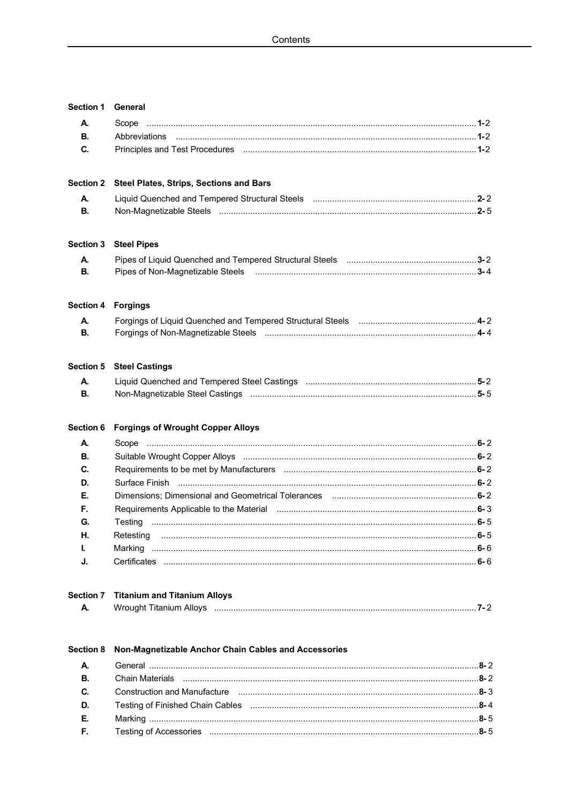| Section 1 General         |                                                                                                                                                  |  |
|---------------------------|--------------------------------------------------------------------------------------------------------------------------------------------------|--|
| А.                        | Scope                                                                                                                                            |  |
| В.                        |                                                                                                                                                  |  |
| C.                        |                                                                                                                                                  |  |
|                           | Section 2 Steel Plates, Strips, Sections and Bars                                                                                                |  |
| А.<br>В.                  | Liquid Quenched and Tempered Structural Steels [11] [12] [12] [12] [12] [22] [12] [2-2] [13] [13] [14] [15] [1                                   |  |
|                           |                                                                                                                                                  |  |
| <b>Section 3</b>          | <b>Steel Pipes</b>                                                                                                                               |  |
| А.                        |                                                                                                                                                  |  |
| В.                        |                                                                                                                                                  |  |
| <b>Section 4 Forgings</b> |                                                                                                                                                  |  |
| А.                        |                                                                                                                                                  |  |
| В.                        |                                                                                                                                                  |  |
|                           | <b>Section 5 Steel Castings</b>                                                                                                                  |  |
| А.                        |                                                                                                                                                  |  |
| В.                        |                                                                                                                                                  |  |
| Section 6                 | <b>Forgings of Wrought Copper Alloys</b>                                                                                                         |  |
| А.                        |                                                                                                                                                  |  |
| В.                        | Suitable Wrought Copper Alloys (1998) (1998) (1998) (1998) (1998) (1998) (1998) (1998) (1998) (1998) (1998) (1                                   |  |
| C.                        | Requirements to be met by Manufacturers maturities and contain the content of 2                                                                  |  |
| D.                        |                                                                                                                                                  |  |
| Е.                        |                                                                                                                                                  |  |
| F.                        | Requirements Applicable to the Material measuremanaminaminaminaminaminaminam6-3                                                                  |  |
| G.                        |                                                                                                                                                  |  |
| Н.                        | Retesting                                                                                                                                        |  |
| L                         |                                                                                                                                                  |  |
| J.                        |                                                                                                                                                  |  |
| <b>Section 7</b>          | <b>Titanium and Titanium Alloys</b>                                                                                                              |  |
| А.                        |                                                                                                                                                  |  |
| <b>Section 8</b>          | Non-Magnetizable Anchor Chain Cables and Accessories                                                                                             |  |
| А.                        |                                                                                                                                                  |  |
| В.                        |                                                                                                                                                  |  |
| C.                        | Construction and Manufacture (2008) 2008 (2018) 2018 2019 2018 2018 2018 2018 2018 2019 2018 2019 2019 2019 20                                   |  |
| D.                        |                                                                                                                                                  |  |
| Е.                        |                                                                                                                                                  |  |
| F.                        | Testing of Accessories manufactured and the control of Accessories manufactured and the state of Accessories manufactured and the state of $5-5$ |  |
|                           |                                                                                                                                                  |  |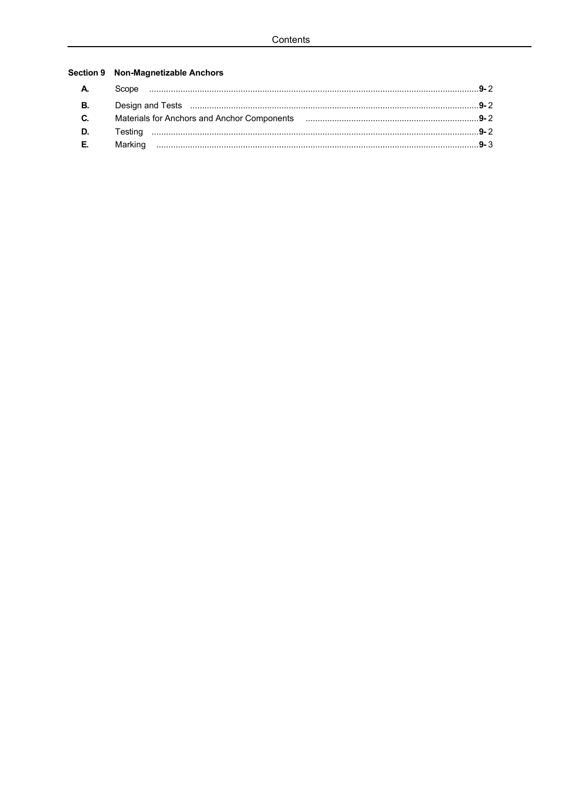## Section 9 Non-Magnetizable Anchors

| $C_{1}$ |  |
|---------|--|
|         |  |
| E.      |  |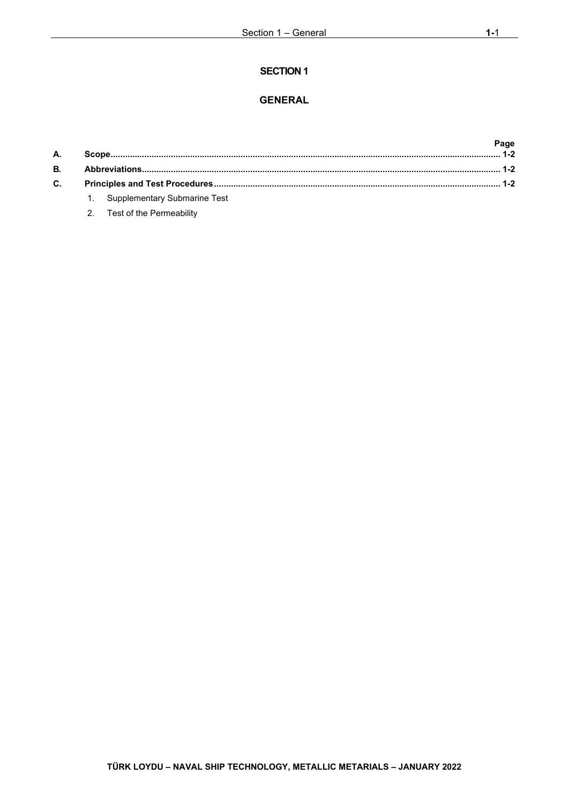## **GENERAL**

| А.             |                                 | Page |  |
|----------------|---------------------------------|------|--|
| В.             |                                 |      |  |
| $\mathbf{C}$ . |                                 |      |  |
|                | 1. Supplementary Submarine Test |      |  |

2. [Test of the Permeability](#page-5-4)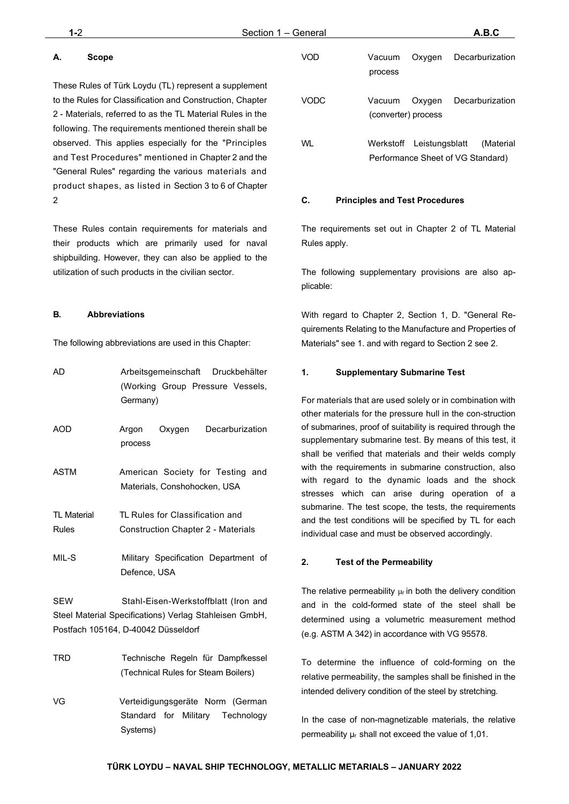## <span id="page-5-0"></span>**A. Scope**

These Rules of Türk Loydu (TL) represent a supplement to the Rules for Classification and Construction, Chapter 2 - Materials, referred to as the TL Material Rules in the following. The requirements mentioned therein shall be observed. This applies especially for the "Principles and Test Procedures" mentioned in Chapter 2 and the "General Rules" regarding the various materials and product shapes, as listed in Section 3 to 6 of Chapter 2

These Rules contain requirements for materials and their products which are primarily used for naval shipbuilding. However, they can also be applied to the utilization of such products in the civilian sector.

#### <span id="page-5-1"></span>**B. Abbreviations**

The following abbreviations are used in this Chapter:

| AD                                 | Arbeitsgemeinschaft Druckbehälter<br>(Working Group Pressure Vessels,<br>Germany)                                                     |
|------------------------------------|---------------------------------------------------------------------------------------------------------------------------------------|
| AOD                                | Decarburization<br>Argon<br>Oxygen<br>process                                                                                         |
| <b>ASTM</b>                        | American Society for Testing and<br>Materials, Conshohocken, USA                                                                      |
| <b>TL Material</b><br><b>Rules</b> | TL Rules for Classification and<br><b>Construction Chapter 2 - Materials</b>                                                          |
| MIL-S                              | Military Specification Department of<br>Defence, USA                                                                                  |
| <b>SEW</b>                         | Stahl-Eisen-Werkstoffblatt (Iron and<br>Steel Material Specifications) Verlag Stahleisen GmbH,<br>Postfach 105164, D-40042 Düsseldorf |
| TRD                                | Technische Regeln für Dampfkessel<br>(Technical Rules for Steam Boilers)                                                              |
| VG                                 | Verteidigungsgeräte Norm (German<br>Standard<br>for Military<br>Technology                                                            |

Systems)

| VOD  | Vacuum<br>process             | Oxygen                            | Decarburization |
|------|-------------------------------|-----------------------------------|-----------------|
| VODC | Vacuum<br>(converter) process | Oxygen                            | Decarburization |
| WI   | Werkstoff Leistungsblatt      | Performance Sheet of VG Standard) | (Material       |

#### <span id="page-5-2"></span>**C. Principles and Test Procedures**

The requirements set out in Chapter 2 of TL Material Rules apply.

The following supplementary provisions are also applicable:

With regard to Chapter 2, Section 1, D. "General Requirements Relating to the Manufacture and Properties of Materials" see 1. and with regard to Section 2 see 2.

#### <span id="page-5-3"></span>**1. Supplementary Submarine Test**

For materials that are used solely or in combination with other materials for the pressure hull in the con-struction of submarines, proof of suitability is required through the supplementary submarine test. By means of this test, it shall be verified that materials and their welds comply with the requirements in submarine construction, also with regard to the dynamic loads and the shock stresses which can arise during operation of a submarine. The test scope, the tests, the requirements and the test conditions will be specified by TL for each individual case and must be observed accordingly.

#### <span id="page-5-4"></span>**2. Test of the Permeability**

The relative permeability  $\mu_r$  in both the delivery condition and in the cold-formed state of the steel shall be determined using a volumetric measurement method (e.g. ASTM A 342) in accordance with VG 95578.

To determine the influence of cold-forming on the relative permeability, the samples shall be finished in the intended delivery condition of the steel by stretching.

In the case of non-magnetizable materials, the relative permeability μr shall not exceed the value of 1,01.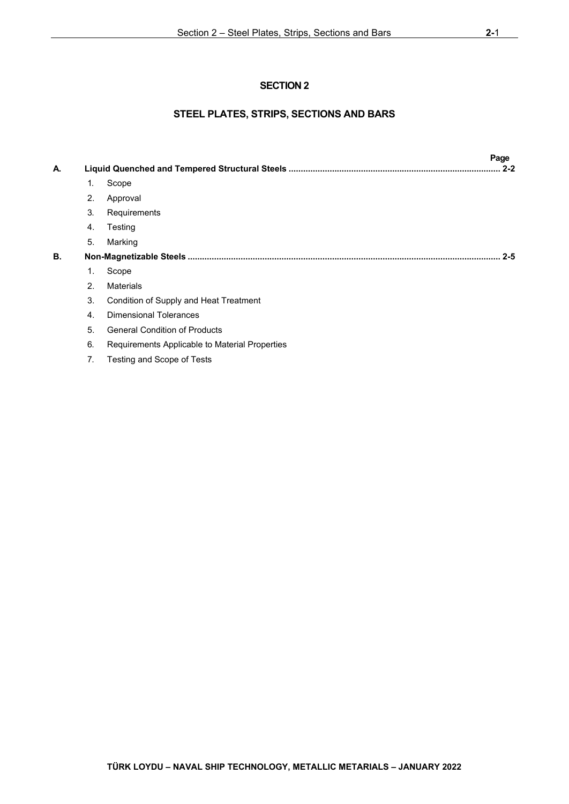## **STEEL PLATES, STRIPS, SECTIONS AND BARS**

| А. |                | Page<br>$2 - 2$                                |  |
|----|----------------|------------------------------------------------|--|
|    | 1.             | Scope                                          |  |
|    | 2.             | Approval                                       |  |
|    | 3.             | Requirements                                   |  |
|    | 4.             | Testing                                        |  |
|    | 5.             | Marking                                        |  |
| В. |                | $2 - 5$                                        |  |
|    | 1.             | Scope                                          |  |
|    | 2 <sub>1</sub> | <b>Materials</b>                               |  |
|    | 3.             | Condition of Supply and Heat Treatment         |  |
|    | 4.             | <b>Dimensional Tolerances</b>                  |  |
|    | 5.             | <b>General Condition of Products</b>           |  |
|    | 6.             | Requirements Applicable to Material Properties |  |
|    | 7.             | Testing and Scope of Tests                     |  |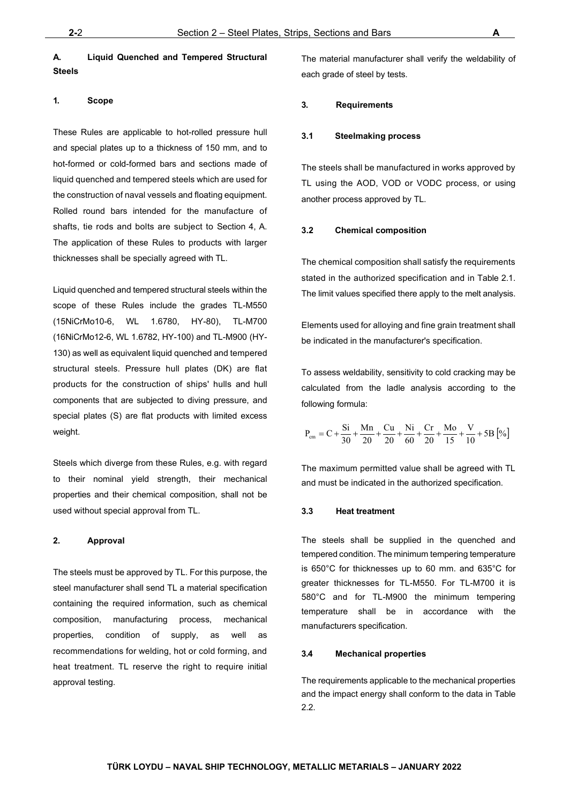## <span id="page-7-0"></span>**A. Liquid Quenched and Tempered Structural Steels**

### <span id="page-7-1"></span>**1. Scope**

These Rules are applicable to hot-rolled pressure hull and special plates up to a thickness of 150 mm, and to hot-formed or cold-formed bars and sections made of liquid quenched and tempered steels which are used for the construction of naval vessels and floating equipment. Rolled round bars intended for the manufacture of shafts, tie rods and bolts are subject to Section 4, A. The application of these Rules to products with larger thicknesses shall be specially agreed with TL.

Liquid quenched and tempered structural steels within the scope of these Rules include the grades TL-M550 (15NiCrMo10-6, WL 1.6780, HY-80), TL-M700 (16NiCrMo12-6, WL 1.6782, HY-100) and TL-M900 (HY-130) as well as equivalent liquid quenched and tempered structural steels. Pressure hull plates (DK) are flat products for the construction of ships' hulls and hull components that are subjected to diving pressure, and special plates (S) are flat products with limited excess weight.

Steels which diverge from these Rules, e.g. with regard to their nominal yield strength, their mechanical properties and their chemical composition, shall not be used without special approval from TL.

#### <span id="page-7-2"></span>**2. Approval**

The steels must be approved by TL. For this purpose, the steel manufacturer shall send TL a material specification containing the required information, such as chemical composition, manufacturing process, mechanical properties, condition of supply, as well as recommendations for welding, hot or cold forming, and heat treatment. TL reserve the right to require initial approval testing.

The material manufacturer shall verify the weldability of each grade of steel by tests.

#### <span id="page-7-3"></span>**3. Requirements**

#### **3.1 Steelmaking process**

The steels shall be manufactured in works approved by TL using the AOD, VOD or VODC process, or using another process approved by TL.

#### **3.2 Chemical composition**

The chemical composition shall satisfy the requirements stated in the authorized specification and in Table 2.1. The limit values specified there apply to the melt analysis.

Elements used for alloying and fine grain treatment shall be indicated in the manufacturer's specification.

To assess weldability, sensitivity to cold cracking may be calculated from the ladle analysis according to the following formula:

$$
P_{cm} = C + \frac{Si}{30} + \frac{Mn}{20} + \frac{Cu}{20} + \frac{Ni}{60} + \frac{Cr}{20} + \frac{Mo}{15} + \frac{V}{10} + 5B \left[\% \right]
$$

The maximum permitted value shall be agreed with TL and must be indicated in the authorized specification.

#### **3.3 Heat treatment**

The steels shall be supplied in the quenched and tempered condition. The minimum tempering temperature is 650°C for thicknesses up to 60 mm. and 635°C for greater thicknesses for TL-M550. For TL-M700 it is 580°C and for TL-M900 the minimum tempering temperature shall be in accordance with the manufacturers specification.

#### **3.4 Mechanical properties**

The requirements applicable to the mechanical properties and the impact energy shall conform to the data in Table 2.2.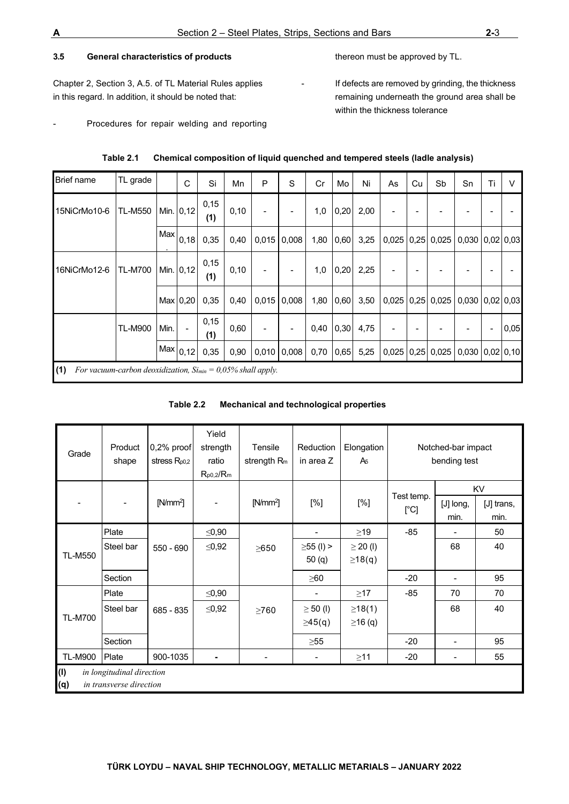### **3.5 General characteristics of products**

Chapter 2, Section 3, A.5. of TL Material Rules applies in this regard. In addition, it should be noted that:

- Procedures for repair welding and reporting

- If defects are removed by grinding, the thickness remaining underneath the ground area shall be within the thickness tolerance

thereon must be approved by TL.

| <b>Brief name</b> | TL grade                                                          |      | C                        | Si          | Mn   | P     | S     | Cr   | Mo   | Ni   | As    | Cu | Sb                                                               | Sn                    | Ti | $\vee$ |
|-------------------|-------------------------------------------------------------------|------|--------------------------|-------------|------|-------|-------|------|------|------|-------|----|------------------------------------------------------------------|-----------------------|----|--------|
| 15NiCrMo10-6      | <b>TL-M550</b>                                                    |      | Min. 0,12                | 0,15<br>(1) | 0,10 |       |       | 1,0  | 0,20 | 2,00 |       |    |                                                                  |                       |    |        |
|                   |                                                                   | Max  | 0,18                     | 0,35        | 0,40 | 0,015 | 0,008 | 1,80 | 0,60 | 3,25 | 0,025 |    | $0,25$ 0,025                                                     | $0,030$ $0,02$ $0,03$ |    |        |
| 16NiCrMo12-6      | <b>TL-M700</b>                                                    |      | Min. 0,12                | 0,15<br>(1) | 0,10 |       |       | 1,0  | 0,20 | 2,25 |       |    |                                                                  |                       |    |        |
|                   |                                                                   |      | Max 0,20                 | 0,35        | 0,40 | 0,015 | 0,008 | 1,80 | 0,60 | 3,50 | 0,025 |    | $\vert 0.25 \vert 0.025 \vert 0.030 \vert 0.02 \vert 0.03 \vert$ |                       |    |        |
|                   | <b>TL-M900</b>                                                    | Min. | $\overline{\phantom{a}}$ | 0,15<br>(1) | 0,60 |       |       | 0,40 | 0,30 | 4,75 |       |    |                                                                  |                       |    | 0,05   |
|                   |                                                                   |      | Max 0,12                 | 0,35        | 0,90 | 0,010 | 0,008 | 0,70 | 0,65 | 5,25 | 0,025 |    | $0,25$ 0,025                                                     | $0,030$ $0,02$ $0,10$ |    |        |
| (1)               | For vacuum-carbon deoxidization, $S_{lmin} = 0.05\%$ shall apply. |      |                          |             |      |       |       |      |      |      |       |    |                                                                  |                       |    |        |

| Table 2.1 | Chemical composition of liquid quenched and tempered steels (ladle analysis) |
|-----------|------------------------------------------------------------------------------|
|           |                                                                              |

|  | Table 2.2 | Mechanical and technological properties |
|--|-----------|-----------------------------------------|
|--|-----------|-----------------------------------------|

| Grade                                                              | Product<br>shape | 0,2% proof<br>stress $R_{p0,2}$ | Yield<br>strength<br>ratio<br>$R_{p0,2}/R_m$ | Tensile<br>strength R <sub>m</sub> | Reduction<br>in area Z | Elongation<br>A <sub>5</sub> |                    | Notched-bar impact<br>bending test |                          |
|--------------------------------------------------------------------|------------------|---------------------------------|----------------------------------------------|------------------------------------|------------------------|------------------------------|--------------------|------------------------------------|--------------------------|
|                                                                    |                  | $[N/mm^2]$                      |                                              | $[N/mm^2]$                         | [%]                    | [%]                          | Test temp.<br>[°C] | [J] long,<br>min.                  | KV<br>[J] trans,<br>min. |
|                                                                    | Plate            |                                 | $≤0,90$                                      |                                    |                        | $\geq$ 19                    | $-85$              |                                    | 50                       |
| <b>TL-M550</b>                                                     | Steel bar        | 550 - 690                       | $≤0,92$                                      | $\geq$ 650                         | $\geq 55$ (l) >        | $\geq$ 20 (l)                |                    | 68                                 | 40                       |
|                                                                    |                  |                                 |                                              |                                    | 50(q)                  | $\geq$ 18(q)                 |                    |                                    |                          |
|                                                                    | Section          |                                 |                                              |                                    | $\geq 60$              |                              | $-20$              |                                    | 95                       |
|                                                                    | Plate            |                                 | $≤0,90$                                      |                                    |                        | $\geq$ 17                    | $-85$              | 70                                 | 70                       |
|                                                                    | Steel bar        | 685 - 835                       | $≤0,92$                                      | $\geq 760$                         | $\geq 50$ (l)          | $\geq$ 18(1)                 |                    | 68                                 | 40                       |
| <b>TL-M700</b>                                                     |                  |                                 |                                              |                                    | $\geq 45(q)$           | $≥16$ (q)                    |                    |                                    |                          |
|                                                                    | Section          |                                 |                                              |                                    | $\geq 55$              |                              | $-20$              |                                    | 95                       |
| <b>TL-M900</b>                                                     | Plate            | 900-1035                        |                                              |                                    |                        | $\geq$ 11                    | $-20$              |                                    | 55                       |
| (1)<br>in longitudinal direction<br>in transverse direction<br>(q) |                  |                                 |                                              |                                    |                        |                              |                    |                                    |                          |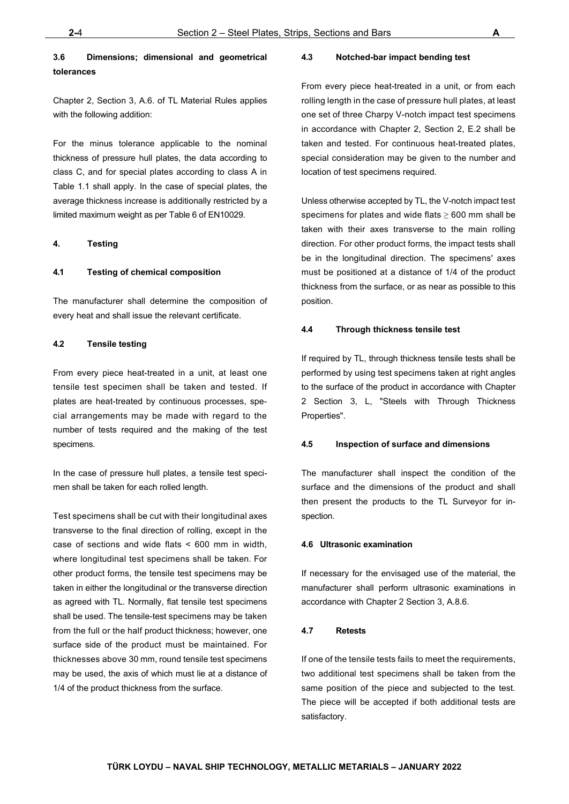## **3.6 Dimensions; dimensional and geometrical tolerances**

Chapter 2, Section 3, A.6. of TL Material Rules applies with the following addition:

For the minus tolerance applicable to the nominal thickness of pressure hull plates, the data according to class C, and for special plates according to class A in Table 1.1 shall apply. In the case of special plates, the average thickness increase is additionally restricted by a limited maximum weight as per Table 6 of EN10029.

#### <span id="page-9-0"></span>**4. Testing**

#### **4.1 Testing of chemical composition**

The manufacturer shall determine the composition of every heat and shall issue the relevant certificate.

#### **4.2 Tensile testing**

From every piece heat-treated in a unit, at least one tensile test specimen shall be taken and tested. If plates are heat-treated by continuous processes, special arrangements may be made with regard to the number of tests required and the making of the test specimens.

In the case of pressure hull plates, a tensile test specimen shall be taken for each rolled length.

Test specimens shall be cut with their longitudinal axes transverse to the final direction of rolling, except in the case of sections and wide flats < 600 mm in width, where longitudinal test specimens shall be taken. For other product forms, the tensile test specimens may be taken in either the longitudinal or the transverse direction as agreed with TL. Normally, flat tensile test specimens shall be used. The tensile-test specimens may be taken from the full or the half product thickness; however, one surface side of the product must be maintained. For thicknesses above 30 mm, round tensile test specimens may be used, the axis of which must lie at a distance of 1/4 of the product thickness from the surface.

#### **4.3 Notched-bar impact bending test**

From every piece heat-treated in a unit, or from each rolling length in the case of pressure hull plates, at least one set of three Charpy V-notch impact test specimens in accordance with Chapter 2, Section 2, E.2 shall be taken and tested. For continuous heat-treated plates, special consideration may be given to the number and location of test specimens required.

Unless otherwise accepted by TL, the V-notch impact test specimens for plates and wide flats  $\geq 600$  mm shall be taken with their axes transverse to the main rolling direction. For other product forms, the impact tests shall be in the longitudinal direction. The specimens' axes must be positioned at a distance of 1/4 of the product thickness from the surface, or as near as possible to this position.

#### **4.4 Through thickness tensile test**

If required by TL, through thickness tensile tests shall be performed by using test specimens taken at right angles to the surface of the product in accordance with Chapter 2 Section 3, L, "Steels with Through Thickness Properties".

#### **4.5 Inspection of surface and dimensions**

The manufacturer shall inspect the condition of the surface and the dimensions of the product and shall then present the products to the TL Surveyor for inspection.

#### **4.6 Ultrasonic examination**

If necessary for the envisaged use of the material, the manufacturer shall perform ultrasonic examinations in accordance with Chapter 2 Section 3, A.8.6.

#### **4.7 Retests**

If one of the tensile tests fails to meet the requirements, two additional test specimens shall be taken from the same position of the piece and subjected to the test. The piece will be accepted if both additional tests are satisfactory.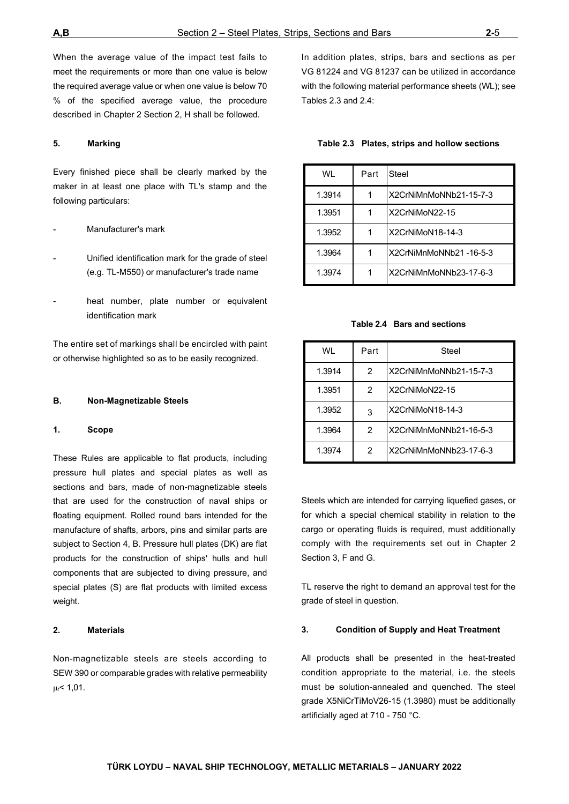When the average value of the impact test fails to meet the requirements or more than one value is below the required average value or when one value is below 70 % of the specified average value, the procedure described in Chapter 2 Section 2, H shall be followed.

#### <span id="page-10-0"></span>**5. Marking**

Every finished piece shall be clearly marked by the maker in at least one place with TL's stamp and the following particulars:

#### Manufacturer's mark

- Unified identification mark for the grade of steel (e.g. TL-M550) or manufacturer's trade name
- heat number, plate number or equivalent identification mark

The entire set of markings shall be encircled with paint or otherwise highlighted so as to be easily recognized.

#### <span id="page-10-1"></span>**B. Non-Magnetizable Steels**

#### <span id="page-10-2"></span>**1. Scope**

These Rules are applicable to flat products, including pressure hull plates and special plates as well as sections and bars, made of non-magnetizable steels that are used for the construction of naval ships or floating equipment. Rolled round bars intended for the manufacture of shafts, arbors, pins and similar parts are subject to Section 4, B. Pressure hull plates (DK) are flat products for the construction of ships' hulls and hull components that are subjected to diving pressure, and special plates (S) are flat products with limited excess weight.

#### <span id="page-10-3"></span>**2. Materials**

Non-magnetizable steels are steels according to SEW 390 or comparable grades with relative permeability μr< 1,01.

In addition plates, strips, bars and sections as per VG 81224 and VG 81237 can be utilized in accordance with the following material performance sheets (WL); see Tables 2.3 and 2.4:

| Table 2.3 Plates, strips and hollow sections |  |  |  |  |  |
|----------------------------------------------|--|--|--|--|--|
|----------------------------------------------|--|--|--|--|--|

| WI     | Part | Steel                  |
|--------|------|------------------------|
| 1.3914 |      | X2CrNiMnMoNNb21-15-7-3 |
| 1.3951 |      | X2CrNiMoN22-15         |
| 1.3952 |      | X2CrNiMoN18-14-3       |
| 1.3964 |      | X2CrNiMnMoNNb21-16-5-3 |
| 1.3974 |      | X2CrNiMnMoNNb23-17-6-3 |

#### **Table 2.4 Bars and sections**

| WI     | Part          | Steel                  |
|--------|---------------|------------------------|
| 1.3914 | $\mathcal{P}$ | X2CrNiMnMoNNb21-15-7-3 |
| 1.3951 | 2             | X2CrNiMoN22-15         |
| 1.3952 | 3             | X2CrNiMoN18-14-3       |
| 1.3964 | 2             | X2CrNiMnMoNNb21-16-5-3 |
| 1.3974 | 2             | X2CrNiMnMoNNb23-17-6-3 |

Steels which are intended for carrying liquefied gases, or for which a special chemical stability in relation to the cargo or operating fluids is required, must additionally comply with the requirements set out in Chapter 2 Section 3, F and G.

TL reserve the right to demand an approval test for the grade of steel in question.

#### <span id="page-10-4"></span>**3. Condition of Supply and Heat Treatment**

All products shall be presented in the heat-treated condition appropriate to the material, i.e. the steels must be solution-annealed and quenched. The steel grade X5NiCrTiMoV26-15 (1.3980) must be additionally artificially aged at 710 - 750 °C.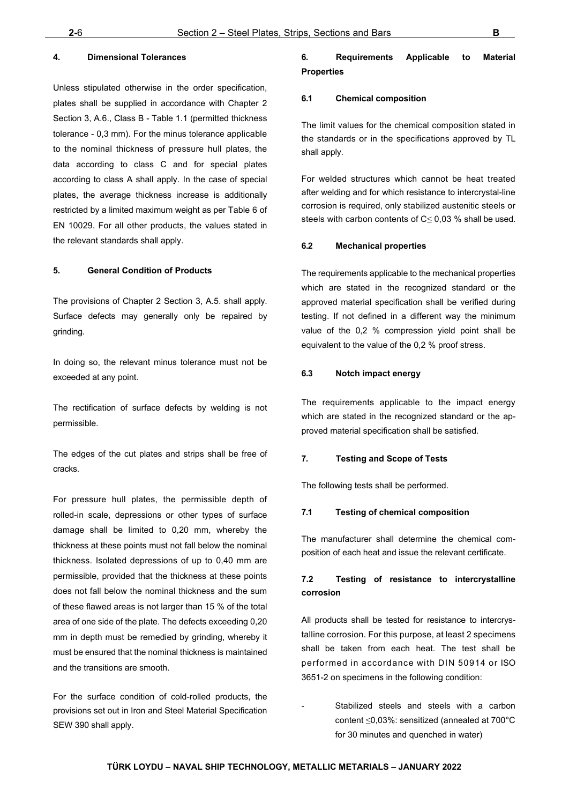#### <span id="page-11-0"></span>**4. Dimensional Tolerances**

Unless stipulated otherwise in the order specification, plates shall be supplied in accordance with Chapter 2 Section 3, A.6., Class B - Table 1.1 (permitted thickness tolerance - 0,3 mm). For the minus tolerance applicable to the nominal thickness of pressure hull plates, the data according to class C and for special plates according to class A shall apply. In the case of special plates, the average thickness increase is additionally restricted by a limited maximum weight as per Table 6 of EN 10029. For all other products, the values stated in the relevant standards shall apply.

#### <span id="page-11-1"></span>**5. General Condition of Products**

The provisions of Chapter 2 Section 3, A.5. shall apply. Surface defects may generally only be repaired by grinding.

In doing so, the relevant minus tolerance must not be exceeded at any point.

The rectification of surface defects by welding is not permissible.

The edges of the cut plates and strips shall be free of cracks.

For pressure hull plates, the permissible depth of rolled-in scale, depressions or other types of surface damage shall be limited to 0,20 mm, whereby the thickness at these points must not fall below the nominal thickness. Isolated depressions of up to 0,40 mm are permissible, provided that the thickness at these points does not fall below the nominal thickness and the sum of these flawed areas is not larger than 15 % of the total area of one side of the plate. The defects exceeding 0,20 mm in depth must be remedied by grinding, whereby it must be ensured that the nominal thickness is maintained and the transitions are smooth.

For the surface condition of cold-rolled products, the provisions set out in Iron and Steel Material Specification SEW 390 shall apply.

## <span id="page-11-2"></span>**6. Requirements Applicable to Material Properties**

#### **6.1 Chemical composition**

The limit values for the chemical composition stated in the standards or in the specifications approved by TL shall apply.

For welded structures which cannot be heat treated after welding and for which resistance to intercrystal-line corrosion is required, only stabilized austenitic steels or steels with carbon contents of  $C \leq 0.03$  % shall be used.

#### **6.2 Mechanical properties**

The requirements applicable to the mechanical properties which are stated in the recognized standard or the approved material specification shall be verified during testing. If not defined in a different way the minimum value of the 0,2 % compression yield point shall be equivalent to the value of the 0,2 % proof stress.

#### **6.3 Notch impact energy**

The requirements applicable to the impact energy which are stated in the recognized standard or the approved material specification shall be satisfied.

#### <span id="page-11-3"></span>**7. Testing and Scope of Tests**

The following tests shall be performed.

#### **7.1 Testing of chemical composition**

The manufacturer shall determine the chemical composition of each heat and issue the relevant certificate.

## **7.2 Testing of resistance to intercrystalline corrosion**

All products shall be tested for resistance to intercrystalline corrosion. For this purpose, at least 2 specimens shall be taken from each heat. The test shall be performed in accordance with DIN 50914 or ISO 3651-2 on specimens in the following condition:

Stabilized steels and steels with a carbon content ≤0,03%: sensitized (annealed at 700°C for 30 minutes and quenched in water)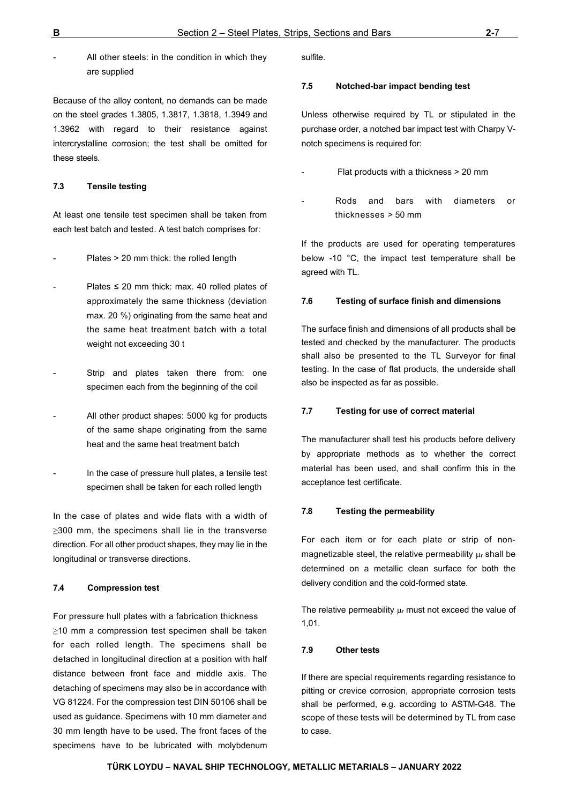All other steels: in the condition in which they are supplied

Because of the alloy content, no demands can be made on the steel grades 1.3805, 1.3817, 1.3818, 1.3949 and 1.3962 with regard to their resistance against intercrystalline corrosion; the test shall be omitted for these steels.

#### **7.3 Tensile testing**

At least one tensile test specimen shall be taken from each test batch and tested. A test batch comprises for:

- Plates > 20 mm thick: the rolled length
- Plates  $\leq$  20 mm thick: max. 40 rolled plates of approximately the same thickness (deviation max. 20 %) originating from the same heat and the same heat treatment batch with a total weight not exceeding 30 t
- Strip and plates taken there from: one specimen each from the beginning of the coil
- All other product shapes: 5000 kg for products of the same shape originating from the same heat and the same heat treatment batch
- In the case of pressure hull plates, a tensile test specimen shall be taken for each rolled length

In the case of plates and wide flats with a width of ≥300 mm, the specimens shall lie in the transverse direction. For all other product shapes, they may lie in the longitudinal or transverse directions.

#### **7.4 Compression test**

For pressure hull plates with a fabrication thickness ≥10 mm a compression test specimen shall be taken for each rolled length. The specimens shall be detached in longitudinal direction at a position with half distance between front face and middle axis. The detaching of specimens may also be in accordance with VG 81224. For the compression test DIN 50106 shall be used as guidance. Specimens with 10 mm diameter and 30 mm length have to be used. The front faces of the specimens have to be lubricated with molybdenum

sulfite.

#### **7.5 Notched-bar impact bending test**

Unless otherwise required by TL or stipulated in the purchase order, a notched bar impact test with Charpy Vnotch specimens is required for:

- Flat products with a thickness > 20 mm
- Rods and bars with diameters or thicknesses > 50 mm

If the products are used for operating temperatures below -10 °C, the impact test temperature shall be agreed with TL.

#### **7.6 Testing of surface finish and dimensions**

The surface finish and dimensions of all products shall be tested and checked by the manufacturer. The products shall also be presented to the TL Surveyor for final testing. In the case of flat products, the underside shall also be inspected as far as possible.

#### **7.7 Testing for use of correct material**

The manufacturer shall test his products before delivery by appropriate methods as to whether the correct material has been used, and shall confirm this in the acceptance test certificate.

#### **7.8 Testing the permeability**

For each item or for each plate or strip of nonmagnetizable steel, the relative permeability  $\mu$ r shall be determined on a metallic clean surface for both the delivery condition and the cold-formed state.

The relative permeability  $\mu_r$  must not exceed the value of 1,01.

#### **7.9 Other tests**

If there are special requirements regarding resistance to pitting or crevice corrosion, appropriate corrosion tests shall be performed, e.g. according to ASTM-G48. The scope of these tests will be determined by TL from case to case.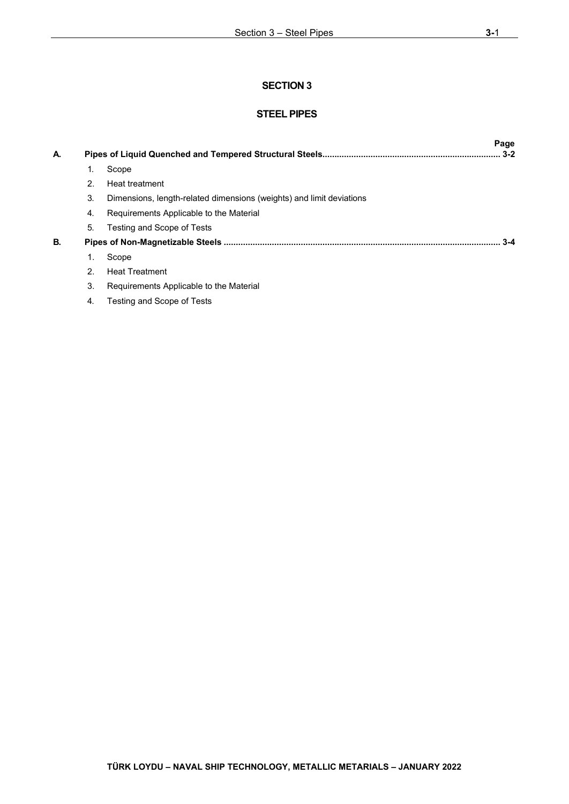## **STEEL PIPES**

| А. |    |                                                                      | Page<br>3-2 |
|----|----|----------------------------------------------------------------------|-------------|
|    | 1. | Scope                                                                |             |
|    | 2. | Heat treatment                                                       |             |
|    | 3. | Dimensions, length-related dimensions (weights) and limit deviations |             |
|    | 4. | Requirements Applicable to the Material                              |             |
|    | 5. | Testing and Scope of Tests                                           |             |
| В. |    |                                                                      | $3-4$       |
|    | 1. | Scope                                                                |             |
|    | 2. | <b>Heat Treatment</b>                                                |             |
|    | 3. | Requirements Applicable to the Material                              |             |
|    | 4. | Testing and Scope of Tests                                           |             |
|    |    |                                                                      |             |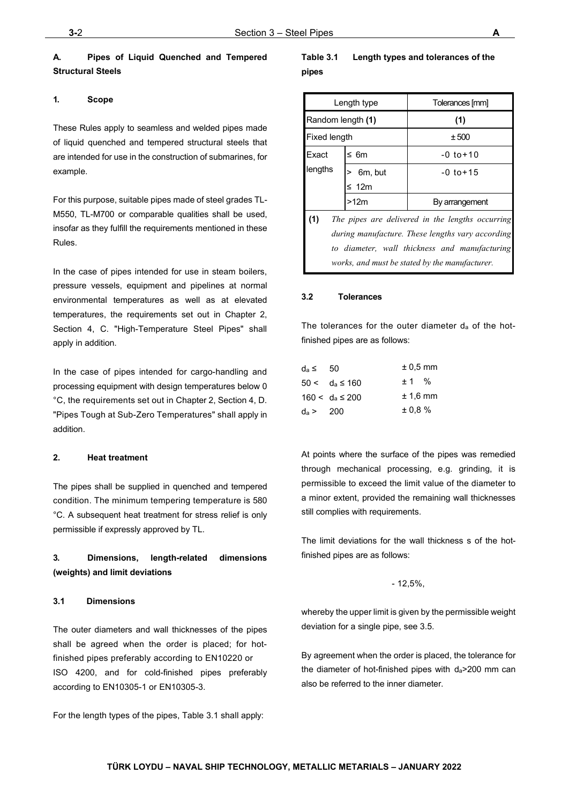## <span id="page-14-0"></span>**A. Pipes of Liquid Quenched and Tempered Structural Steels**

#### <span id="page-14-1"></span>**1. Scope**

These Rules apply to seamless and welded pipes made of liquid quenched and tempered structural steels that are intended for use in the construction of submarines, for example.

For this purpose, suitable pipes made of steel grades TL-M550, TL-M700 or comparable qualities shall be used, insofar as they fulfill the requirements mentioned in these Rules.

In the case of pipes intended for use in steam boilers. pressure vessels, equipment and pipelines at normal environmental temperatures as well as at elevated temperatures, the requirements set out in Chapter 2, Section 4, C. "High-Temperature Steel Pipes" shall apply in addition.

In the case of pipes intended for cargo-handling and processing equipment with design temperatures below 0 °C, the requirements set out in Chapter 2, Section 4, D. "Pipes Tough at Sub-Zero Temperatures" shall apply in addition.

#### <span id="page-14-2"></span>**2. Heat treatment**

The pipes shall be supplied in quenched and tempered condition. The minimum tempering temperature is 580 °C. A subsequent heat treatment for stress relief is only permissible if expressly approved by TL.

## <span id="page-14-3"></span>**3. Dimensions, length-related dimensions (weights) and limit deviations**

#### **3.1 Dimensions**

The outer diameters and wall thicknesses of the pipes shall be agreed when the order is placed; for hotfinished pipes preferably according to EN10220 or ISO 4200, and for cold-finished pipes preferably according to EN10305-1 or EN10305-3.

For the length types of the pipes, Table 3.1 shall apply:

## **Table 3.1 Length types and tolerances of the pipes**

|                                                  | Length type | Tolerances [mm]                                  |  |  |
|--------------------------------------------------|-------------|--------------------------------------------------|--|--|
| Random length (1)                                |             | (1)                                              |  |  |
| Fixed length                                     |             | ± 500                                            |  |  |
| Exact                                            | ≤ 6m        | $-0$ to $+10$                                    |  |  |
| lengths                                          | 6m, but     | $-0.10+1.5$                                      |  |  |
|                                                  | $\leq 12m$  |                                                  |  |  |
|                                                  | >12m        | By arrangement                                   |  |  |
| (1)                                              |             | The pipes are delivered in the lengths occurring |  |  |
| during manufacture. These lengths vary according |             |                                                  |  |  |
|                                                  |             | to diameter, wall thickness and manufacturing    |  |  |
|                                                  |             | works, and must be stated by the manufacturer.   |  |  |

#### **3.2 Tolerances**

The tolerances for the outer diameter da of the hotfinished pipes are as follows:

| $d_a \leq 50$ |                      | $± 0.5$ mm |  |
|---------------|----------------------|------------|--|
|               | $50 < d_a \le 160$   | ± 1 %      |  |
|               | $160 < d_a \leq 200$ | $± 1.6$ mm |  |
| $d_a > 200$   |                      | $± 0.8 \%$ |  |

At points where the surface of the pipes was remedied through mechanical processing, e.g. grinding, it is permissible to exceed the limit value of the diameter to a minor extent, provided the remaining wall thicknesses still complies with requirements.

The limit deviations for the wall thickness s of the hotfinished pipes are as follows:

#### - 12,5%,

whereby the upper limit is given by the permissible weight deviation for a single pipe, see 3.5.

By agreement when the order is placed, the tolerance for the diameter of hot-finished pipes with da>200 mm can also be referred to the inner diameter.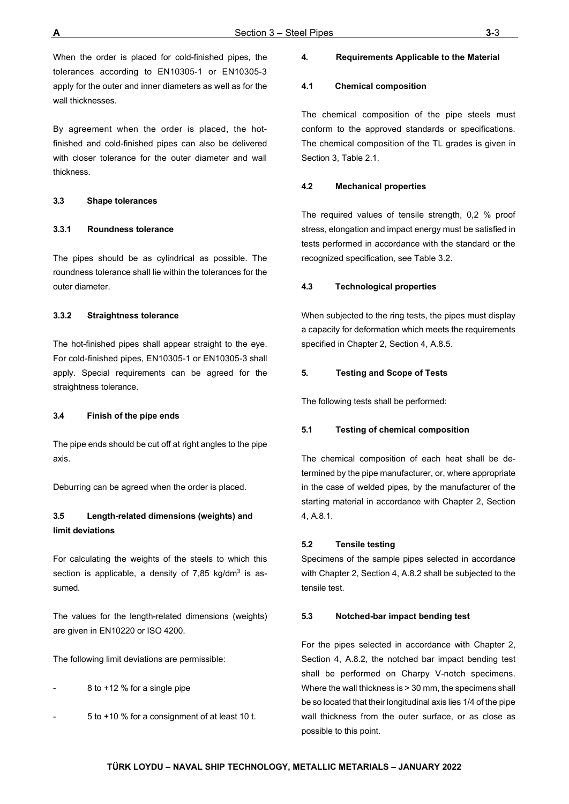When the order is placed for cold-finished pipes, the tolerances according to EN10305-1 or EN10305-3 apply for the outer and inner diameters as well as for the wall thicknesses.

By agreement when the order is placed, the hotfinished and cold-finished pipes can also be delivered with closer tolerance for the outer diameter and wall thickness.

#### **3.3 Shape tolerances**

#### **3.3.1 Roundness tolerance**

The pipes should be as cylindrical as possible. The roundness tolerance shall lie within the tolerances for the outer diameter.

#### **3.3.2 Straightness tolerance**

The hot-finished pipes shall appear straight to the eye. For cold-finished pipes, EN10305-1 or EN10305-3 shall apply. Special requirements can be agreed for the straightness tolerance.

#### **3.4 Finish of the pipe ends**

The pipe ends should be cut off at right angles to the pipe axis.

Deburring can be agreed when the order is placed.

## **3.5 Length-related dimensions (weights) and limit deviations**

For calculating the weights of the steels to which this section is applicable, a density of  $7,85$  kg/dm<sup>3</sup> is assumed.

The values for the length-related dimensions (weights) are given in EN10220 or ISO 4200.

The following limit deviations are permissible:

8 to +12 % for a single pipe

- 5 to +10 % for a consignment of at least 10 t.

#### <span id="page-15-0"></span>**4. Requirements Applicable to the Material**

#### **4.1 Chemical composition**

The chemical composition of the pipe steels must conform to the approved standards or specifications. The chemical composition of the TL grades is given in Section 3, Table 2.1.

#### **4.2 Mechanical properties**

The required values of tensile strength, 0,2 % proof stress, elongation and impact energy must be satisfied in tests performed in accordance with the standard or the recognized specification, see Table 3.2.

#### **4.3 Technological properties**

When subjected to the ring tests, the pipes must display a capacity for deformation which meets the requirements specified in Chapter 2, Section 4, A.8.5.

#### <span id="page-15-1"></span>**5. Testing and Scope of Tests**

The following tests shall be performed:

#### **5.1 Testing of chemical composition**

The chemical composition of each heat shall be determined by the pipe manufacturer, or, where appropriate in the case of welded pipes, by the manufacturer of the starting material in accordance with Chapter 2, Section 4, A.8.1.

#### **5.2 Tensile testing**

Specimens of the sample pipes selected in accordance with Chapter 2, Section 4, A.8.2 shall be subjected to the tensile test.

#### **5.3 Notched-bar impact bending test**

For the pipes selected in accordance with Chapter 2, Section 4, A.8.2, the notched bar impact bending test shall be performed on Charpy V-notch specimens. Where the wall thickness is > 30 mm, the specimens shall be so located that their longitudinal axis lies 1/4 of the pipe wall thickness from the outer surface, or as close as possible to this point.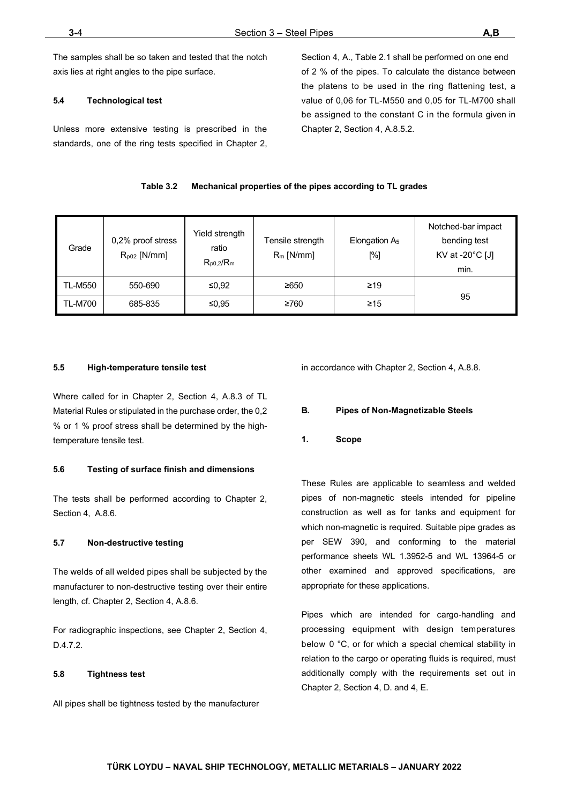The samples shall be so taken and tested that the notch axis lies at right angles to the pipe surface.

#### **5.4 Technological test**

Unless more extensive testing is prescribed in the standards, one of the ring tests specified in Chapter 2, Section 4, A., Table 2.1 shall be performed on one end of 2 % of the pipes. To calculate the distance between the platens to be used in the ring flattening test, a value of 0,06 for TL-M550 and 0,05 for TL-M700 shall be assigned to the constant C in the formula given in Chapter 2, Section 4, A.8.5.2.

#### **Table 3.2 Mechanical properties of the pipes according to TL grades**

| Grade          | 0,2% proof stress<br>$R_{p02}$ [N/mm] | Yield strength<br>ratio<br>$R_{p0.2}/R_m$ | Tensile strength<br>$R_m$ [N/mm] | Elongation $A5$<br>[%] | Notched-bar impact<br>bending test<br>KV at -20 $^{\circ}$ C [J]<br>min. |
|----------------|---------------------------------------|-------------------------------------------|----------------------------------|------------------------|--------------------------------------------------------------------------|
| <b>TL-M550</b> | 550-690                               | ≤ $0.92$                                  | ≥650                             | $\geq$ 19              |                                                                          |
| <b>TL-M700</b> | 685-835                               | ≤0,95                                     | ≥760                             | $\geq 15$              | 95                                                                       |

#### **5.5 High-temperature tensile test**

Where called for in Chapter 2, Section 4, A.8.3 of TL Material Rules or stipulated in the purchase order, the 0,2 % or 1 % proof stress shall be determined by the hightemperature tensile test.

#### **5.6 Testing of surface finish and dimensions**

The tests shall be performed according to Chapter 2, Section 4, A.8.6.

#### **5.7 Non-destructive testing**

The welds of all welded pipes shall be subjected by the manufacturer to non-destructive testing over their entire length, cf. Chapter 2, Section 4, A.8.6.

For radiographic inspections, see Chapter 2, Section 4, D.4.7.2.

#### **5.8 Tightness test**

All pipes shall be tightness tested by the manufacturer

in accordance with Chapter 2, Section 4, A.8.8.

#### <span id="page-16-0"></span>**B. Pipes of Non-Magnetizable Steels**

<span id="page-16-1"></span>**1. Scope**

These Rules are applicable to seamless and welded pipes of non-magnetic steels intended for pipeline construction as well as for tanks and equipment for which non-magnetic is required. Suitable pipe grades as per SEW 390, and conforming to the material performance sheets WL 1.3952-5 and WL 13964-5 or other examined and approved specifications, are appropriate for these applications.

Pipes which are intended for cargo-handling and processing equipment with design temperatures below 0 °C, or for which a special chemical stability in relation to the cargo or operating fluids is required, must additionally comply with the requirements set out in Chapter 2, Section 4, D. and 4, E.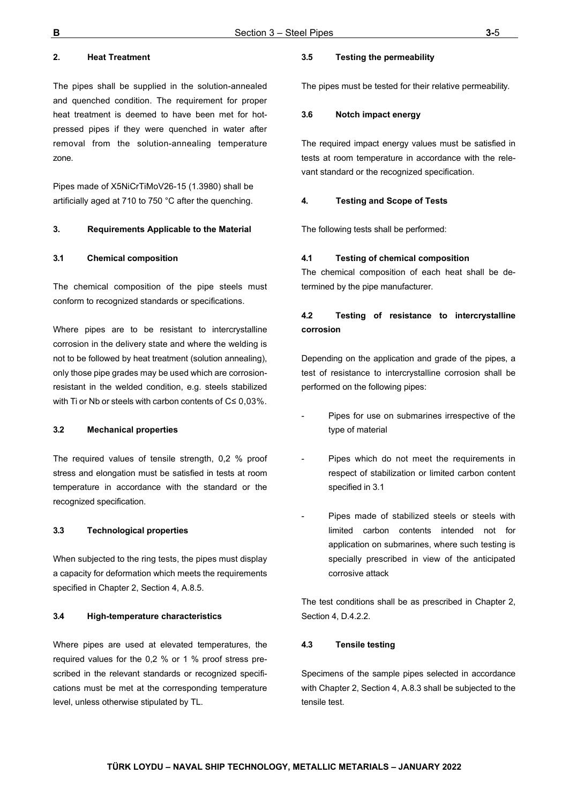## <span id="page-17-0"></span>**2. Heat Treatment**

The pipes shall be supplied in the solution-annealed and quenched condition. The requirement for proper heat treatment is deemed to have been met for hotpressed pipes if they were quenched in water after removal from the solution-annealing temperature zone.

Pipes made of X5NiCrTiMoV26-15 (1.3980) shall be artificially aged at 710 to 750 °C after the quenching.

#### <span id="page-17-1"></span>**3. Requirements Applicable to the Material**

#### **3.1 Chemical composition**

The chemical composition of the pipe steels must conform to recognized standards or specifications.

Where pipes are to be resistant to intercrystalline corrosion in the delivery state and where the welding is not to be followed by heat treatment (solution annealing), only those pipe grades may be used which are corrosionresistant in the welded condition, e.g. steels stabilized with Ti or Nb or steels with carbon contents of C≤ 0,03%.

#### **3.2 Mechanical properties**

The required values of tensile strength, 0,2 % proof stress and elongation must be satisfied in tests at room temperature in accordance with the standard or the recognized specification.

#### **3.3 Technological properties**

When subjected to the ring tests, the pipes must display a capacity for deformation which meets the requirements specified in Chapter 2, Section 4, A.8.5.

#### **3.4 High-temperature characteristics**

Where pipes are used at elevated temperatures, the required values for the 0,2 % or 1 % proof stress prescribed in the relevant standards or recognized specifications must be met at the corresponding temperature level, unless otherwise stipulated by TL.

#### **3.5 Testing the permeability**

The pipes must be tested for their relative permeability.

#### **3.6 Notch impact energy**

The required impact energy values must be satisfied in tests at room temperature in accordance with the relevant standard or the recognized specification.

#### <span id="page-17-2"></span>**4. Testing and Scope of Tests**

The following tests shall be performed:

#### **4.1 Testing of chemical composition**

The chemical composition of each heat shall be determined by the pipe manufacturer.

## **4.2 Testing of resistance to intercrystalline corrosion**

Depending on the application and grade of the pipes, a test of resistance to intercrystalline corrosion shall be performed on the following pipes:

- Pipes for use on submarines irrespective of the type of material
- Pipes which do not meet the requirements in respect of stabilization or limited carbon content specified in 3.1
- Pipes made of stabilized steels or steels with limited carbon contents intended not for application on submarines, where such testing is specially prescribed in view of the anticipated corrosive attack

The test conditions shall be as prescribed in Chapter 2, Section 4, D.4.2.2.

#### **4.3 Tensile testing**

Specimens of the sample pipes selected in accordance with Chapter 2, Section 4, A.8.3 shall be subjected to the tensile test.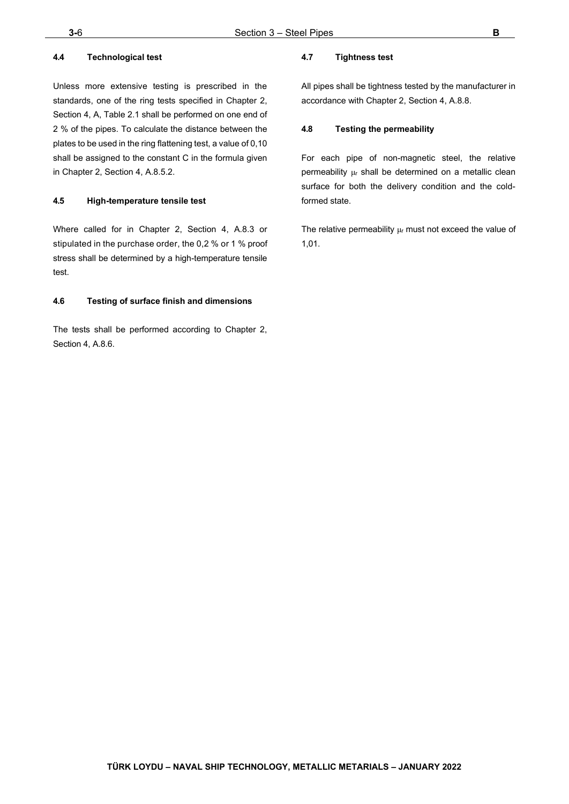## **4.4 Technological test**

Unless more extensive testing is prescribed in the standards, one of the ring tests specified in Chapter 2, Section 4, A, Table 2.1 shall be performed on one end of 2 % of the pipes. To calculate the distance between the plates to be used in the ring flattening test, a value of 0,10 shall be assigned to the constant C in the formula given in Chapter 2, Section 4, A.8.5.2.

## **4.5 High-temperature tensile test**

Where called for in Chapter 2, Section 4, A.8.3 or stipulated in the purchase order, the 0,2 % or 1 % proof stress shall be determined by a high-temperature tensile test.

## **4.6 Testing of surface finish and dimensions**

The tests shall be performed according to Chapter 2, Section 4, A.8.6.

## **4.7 Tightness test**

All pipes shall be tightness tested by the manufacturer in accordance with Chapter 2, Section 4, A.8.8.

## **4.8 Testing the permeability**

For each pipe of non-magnetic steel, the relative permeability μ<sup>r</sup> shall be determined on a metallic clean surface for both the delivery condition and the coldformed state.

The relative permeability  $\mu$  must not exceed the value of 1,01.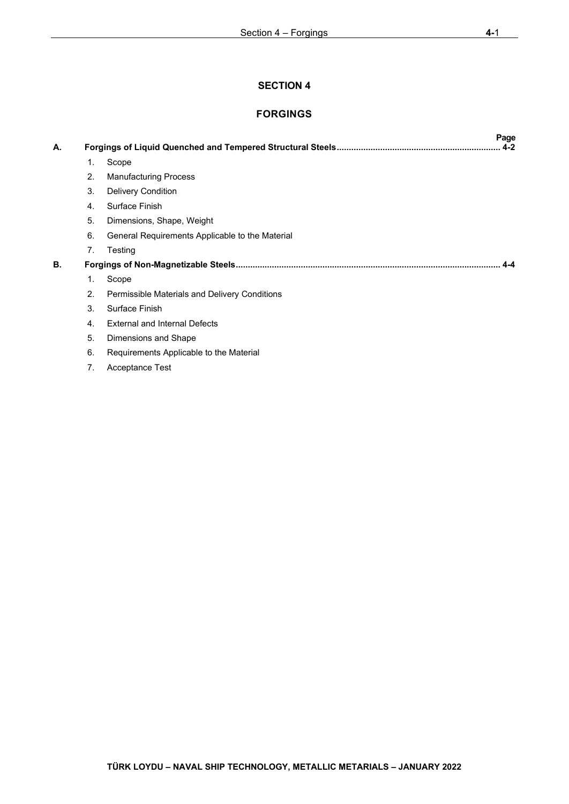## **FORGINGS**

| А. |    | Page<br>$4 - 2$                                 |  |
|----|----|-------------------------------------------------|--|
|    | 1. | Scope                                           |  |
|    | 2. | <b>Manufacturing Process</b>                    |  |
|    | 3. | <b>Delivery Condition</b>                       |  |
|    | 4. | Surface Finish                                  |  |
|    | 5. | Dimensions, Shape, Weight                       |  |
|    | 6. | General Requirements Applicable to the Material |  |
|    | 7. | Testing                                         |  |
| В. |    | 4-4                                             |  |
|    | 1. | Scope                                           |  |
|    | 2. | Permissible Materials and Delivery Conditions   |  |
|    | 3. | Surface Finish                                  |  |
|    | 4. | <b>External and Internal Defects</b>            |  |
|    | 5. | Dimensions and Shape                            |  |
|    | 6. | Requirements Applicable to the Material         |  |
|    | 7. | <b>Acceptance Test</b>                          |  |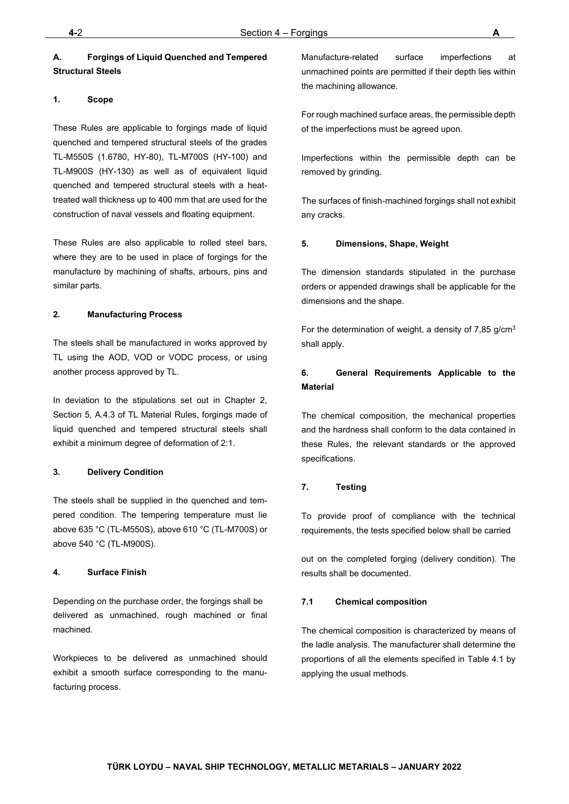## <span id="page-20-0"></span>**A. Forgings of Liquid Quenched and Tempered Structural Steels**

#### <span id="page-20-1"></span>**1. Scope**

These Rules are applicable to forgings made of liquid quenched and tempered structural steels of the grades TL-M550S (1.6780, HY-80), TL-M700S (HY-100) and TL-M900S (HY-130) as well as of equivalent liquid quenched and tempered structural steels with a heattreated wall thickness up to 400 mm that are used for the construction of naval vessels and floating equipment.

These Rules are also applicable to rolled steel bars, where they are to be used in place of forgings for the manufacture by machining of shafts, arbours, pins and similar parts.

#### <span id="page-20-2"></span>**2. Manufacturing Process**

The steels shall be manufactured in works approved by TL using the AOD, VOD or VODC process, or using another process approved by TL.

In deviation to the stipulations set out in Chapter 2, Section 5, A.4.3 of TL Material Rules, forgings made of liquid quenched and tempered structural steels shall exhibit a minimum degree of deformation of 2:1.

#### <span id="page-20-3"></span>**3. Delivery Condition**

The steels shall be supplied in the quenched and tempered condition. The tempering temperature must lie above 635 °C (TL-M550S), above 610 °C (TL-M700S) or above 540 °C (TL-M900S).

#### <span id="page-20-4"></span>**4. Surface Finish**

Depending on the purchase order, the forgings shall be delivered as unmachined, rough machined or final machined.

Workpieces to be delivered as unmachined should exhibit a smooth surface corresponding to the manufacturing process.

Manufacture-related surface imperfections at unmachined points are permitted if their depth lies within the machining allowance.

For rough machined surface areas, the permissible depth of the imperfections must be agreed upon.

Imperfections within the permissible depth can be removed by grinding.

The surfaces of finish-machined forgings shall not exhibit any cracks.

#### <span id="page-20-5"></span>**5. Dimensions, Shape, Weight**

The dimension standards stipulated in the purchase orders or appended drawings shall be applicable for the dimensions and the shape.

For the determination of weight, a density of  $7,85$  g/cm<sup>3</sup> shall apply.

## <span id="page-20-6"></span>**6. General Requirements Applicable to the Material**

The chemical composition, the mechanical properties and the hardness shall conform to the data contained in these Rules, the relevant standards or the approved specifications.

## <span id="page-20-7"></span>**7. Testing**

To provide proof of compliance with the technical requirements, the tests specified below shall be carried

out on the completed forging (delivery condition). The results shall be documented.

## **7.1 Chemical composition**

The chemical composition is characterized by means of the ladle analysis. The manufacturer shall determine the proportions of all the elements specified in Table 4.1 by applying the usual methods.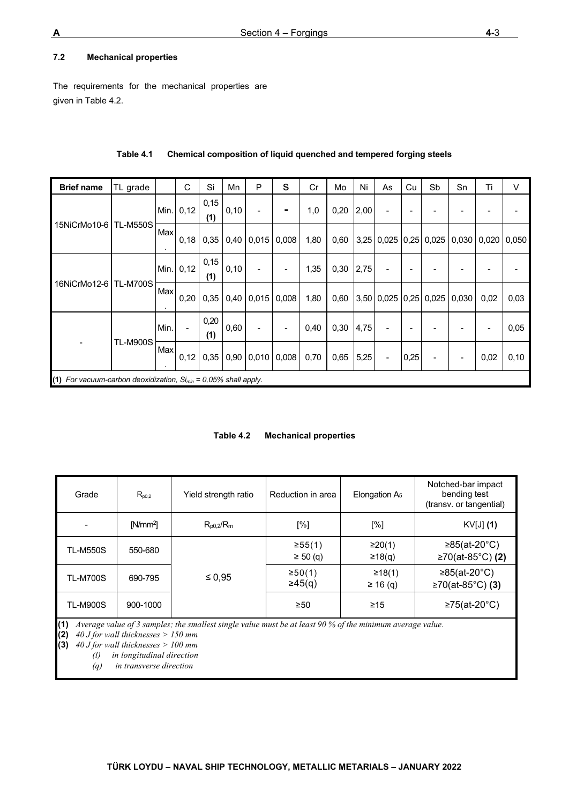## **7.2 Mechanical properties**

The requirements for the mechanical properties are given in Table 4.2.

| <b>Brief name</b>                                                                                     | TL grade        |      | C    | Si          | Mn    | P                          | S     | Cr   | Mo   | Ni   | As                       | Cu   | Sb                            | Sn | Ti   | $\vee$        |
|-------------------------------------------------------------------------------------------------------|-----------------|------|------|-------------|-------|----------------------------|-------|------|------|------|--------------------------|------|-------------------------------|----|------|---------------|
|                                                                                                       |                 | Min. | 0,12 | 0,15<br>(1) | 0,10  | $\overline{a}$             | ۰     | 1,0  | 0,20 | 2,00 | $\overline{\phantom{0}}$ | ٠    |                               |    |      |               |
| 15NiCrMo10-6                                                                                          | <b>TL-M550S</b> | Max  | 0,18 | 0,35        |       | $0,40$   $0,015$   $0,008$ |       | 1,80 | 0,60 |      |                          |      | $3,25$ 0,025 0,25 0,025 0,030 |    |      | $0,020$ 0,050 |
|                                                                                                       |                 | Min. | 0,12 | 0,15<br>(1) | 0, 10 |                            |       | 1,35 | 0,30 | 2,75 |                          |      |                               |    |      |               |
| 16NiCrMo12-6   TL-M700S                                                                               |                 | Max  | 0,20 | 0,35        | 0,40  | 0,015                      | 0,008 | 1,80 | 0,60 |      | $3,50$ 0,025 0,25        |      | $0,025$ 0,030                 |    | 0,02 | 0,03          |
|                                                                                                       |                 | Min. |      | 0,20<br>(1) | 0,60  |                            |       | 0,40 | 0,30 | 4,75 |                          |      |                               |    |      | 0,05          |
|                                                                                                       | <b>TL-M900S</b> | Max  | 0,12 | 0,35        |       |                            |       | 0,70 | 0,65 | 5,25 | $\overline{\phantom{a}}$ | 0,25 |                               |    | 0,02 | 0,10          |
| $0,90$   $0,010$   $0,008$  <br>(1) For vacuum-carbon deoxidization, $Si_{min} = 0.05\%$ shall apply. |                 |      |      |             |       |                            |       |      |      |      |                          |      |                               |    |      |               |

**Table 4.1 Chemical composition of liquid quenched and tempered forging steels**

| Table 4.2 | <b>Mechanical properties</b> |  |
|-----------|------------------------------|--|
|           |                              |  |

| Grade                         | $R_{p0,2}$        | Yield strength ratio | Reduction in area       | Elongation $A5$         | Notched-bar impact<br>bending test<br>(transv. or tangential) |
|-------------------------------|-------------------|----------------------|-------------------------|-------------------------|---------------------------------------------------------------|
|                               | N/mm <sup>2</sup> | $R_{p0,2}/R_m$       | [%]                     | [%]                     | KV[J] (1)                                                     |
| <b>TL-M550S</b>               | 550-680           |                      | ≥55(1)<br>$\geq 50$ (q) | ≥20(1)<br>≥18(q)        | ≥85(at-20 $^{\circ}$ C)<br>≥70(at-85°C) (2)                   |
| <b>TL-M700S</b>               | 690-795           | $\leq 0.95$          | ≥50(1)<br>$\geq 45(q)$  | ≥18(1)<br>$\geq 16$ (q) | ≥85(at-20 $^{\circ}$ C)<br>≥70(at-85°C) (3)                   |
| <b>TL-M900S</b><br>$\sqrt{2}$ | 900-1000          |                      | $\geq 50$               | $\geq 15$               | ≥75(at-20 $^{\circ}$ C)                                       |

**(1)** *Average value of 3 samples; the smallest single value must be at least 90 % of the minimum average value.* 

**(2)** *40 J for wall thicknesses > 150 mm* 

**(3)** *40 J for wall thicknesses > 100 mm* 

*(l) in longitudinal direction* 

*(q) in transverse direction*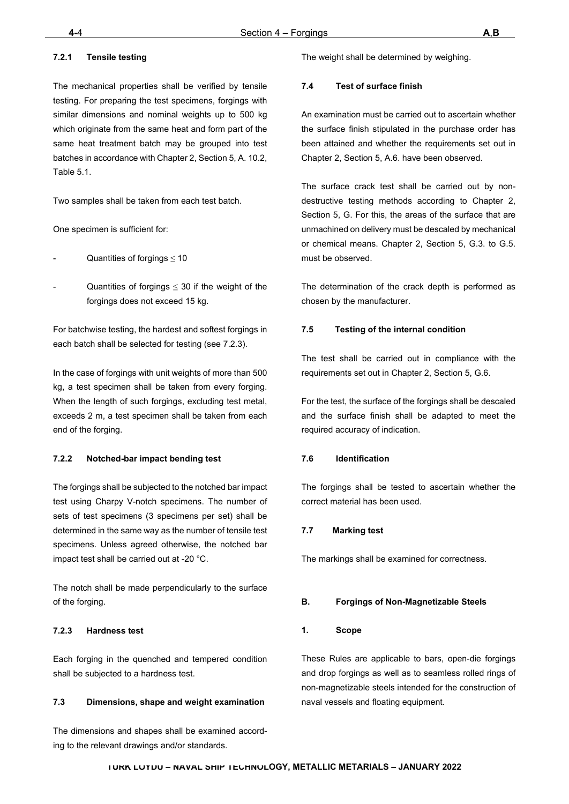## **STEEL PIPES**

|    |    |                                                                    | Page  |
|----|----|--------------------------------------------------------------------|-------|
| А. |    |                                                                    | $3-2$ |
|    | 1. | <b>Scope</b>                                                       |       |
|    | 2. | <b>Heat treatment</b>                                              |       |
|    | 3. | Dimensions, length-related dimension seights) and limit deviations |       |
|    | 4. | Requirement Applicable to the Material                             |       |
|    | 5. | <b>Testing and Scope of Tests</b>                                  |       |
| В. |    |                                                                    | $3-4$ |
|    | 1. | <b>Scope</b>                                                       |       |
|    | 2. | <b>Heat Treatment</b>                                              |       |
|    | 3. | <b>Requirements Applicable to the Material</b>                     |       |
|    | 4. | <b>Testing and Scope of Tests</b>                                  |       |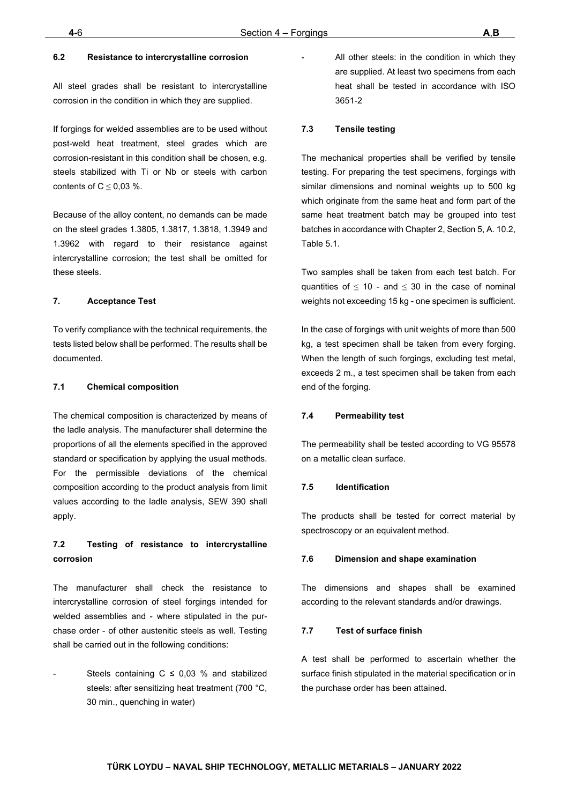```
(90-216) 581 37 00
Tel
        (90-216) 581 38 00
Fax
E-mail : info@turkloydu.org
http://www.turkloydu.org
```
## $\, {\bf B}$

 $\dot{\mathbf{c}}$ 

 $\mathbf{n}$ 

 $\stackrel{.}{\bf c}$ 

| Tel    | $: (90-312)$ 219 56 34 - 219 68 25 |
|--------|------------------------------------|
| Fax    | $: (90-312)$ 219 69 72             |
| E-mail | : an kara@turkloydu.org            |

 $\mathbb{Z}^2$ 

## İzmir

| Tel    | : (90-232) 464 29 88             |
|--------|----------------------------------|
| Fax    | : (90-232) 464 87 51             |
| E-mail | $\therefore$ izmir@turkloydu.org |

## $\mathbf{n}$

| Tel    | $: (90-322) 363 30 12$ |
|--------|------------------------|
| Fax    | $: (90-322) 363 30 19$ |
| E-mail | : adana@turkloydu.org  |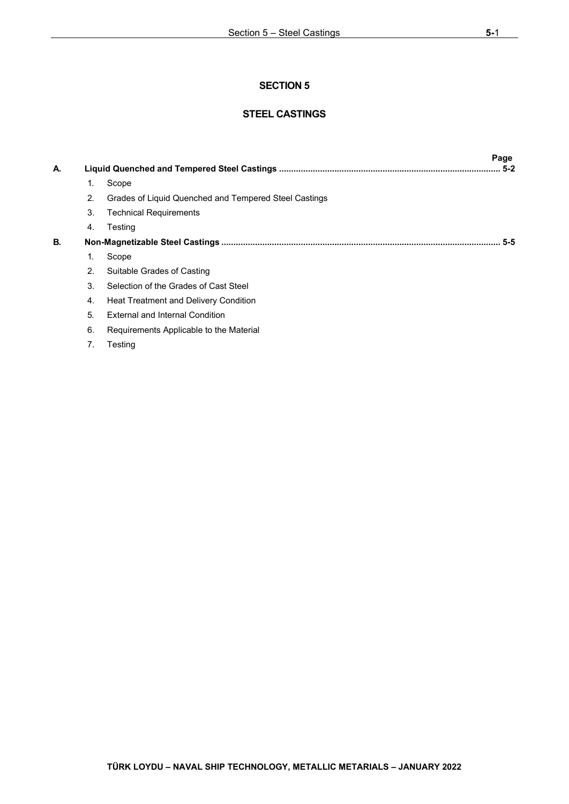## **STEEL CASTINGS**

|    |    |                                                       | Page    |
|----|----|-------------------------------------------------------|---------|
| А. |    |                                                       | $5 - 2$ |
|    | 1. | Scope                                                 |         |
|    | 2. | Grades of Liquid Quenched and Tempered Steel Castings |         |
|    | 3. | <b>Technical Requirements</b>                         |         |
|    | 4. | Testing                                               |         |
| В. |    |                                                       | $5 - 5$ |
|    | 1. | Scope                                                 |         |
|    | 2. | Suitable Grades of Casting                            |         |
|    | 3. | Selection of the Grades of Cast Steel                 |         |
|    | 4. | Heat Treatment and Delivery Condition                 |         |
|    | 5. | External and Internal Condition                       |         |
|    | 6. | Requirements Applicable to the Material               |         |
|    | 7. | Testing                                               |         |
|    |    |                                                       |         |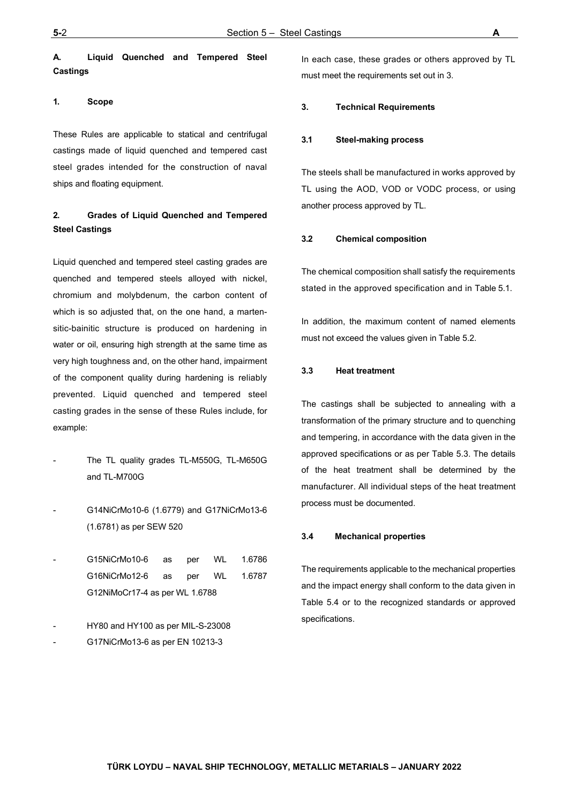## <span id="page-27-0"></span>**A. Liquid Quenched and Tempered Steel Castings**

#### <span id="page-27-1"></span>**1. Scope**

These Rules are applicable to statical and centrifugal castings made of liquid quenched and tempered cast steel grades intended for the construction of naval ships and floating equipment.

## <span id="page-27-2"></span>**2. Grades of Liquid Quenched and Tempered Steel Castings**

Liquid quenched and tempered steel casting grades are quenched and tempered steels alloyed with nickel, chromium and molybdenum, the carbon content of which is so adjusted that, on the one hand, a martensitic-bainitic structure is produced on hardening in water or oil, ensuring high strength at the same time as very high toughness and, on the other hand, impairment of the component quality during hardening is reliably prevented. Liquid quenched and tempered steel casting grades in the sense of these Rules include, for example:

- The TL quality grades TL-M550G, TL-M650G and TL-M700G
- G14NiCrMo10-6 (1.6779) and G17NiCrMo13-6 (1.6781) as per SEW 520
- G15NiCrMo10-6 as per WL 1.6786 G16NiCrMo12-6 as per WL 1.6787 G12NiMoCr17-4 as per WL 1.6788
- HY80 and HY100 as per MIL-S-23008
- G17NiCrMo13-6 as per EN 10213-3

In each case, these grades or others approved by TL must meet the requirements set out in 3.

#### <span id="page-27-3"></span>**3. Technical Requirements**

#### **3.1 Steel-making process**

The steels shall be manufactured in works approved by TL using the AOD, VOD or VODC process, or using another process approved by TL.

#### **3.2 Chemical composition**

The chemical composition shall satisfy the requirements stated in the approved specification and in Table 5.1.

In addition, the maximum content of named elements must not exceed the values given in Table 5.2.

#### **3.3 Heat treatment**

The castings shall be subjected to annealing with a transformation of the primary structure and to quenching and tempering, in accordance with the data given in the approved specifications or as per Table 5.3. The details of the heat treatment shall be determined by the manufacturer. All individual steps of the heat treatment process must be documented.

#### **3.4 Mechanical properties**

The requirements applicable to the mechanical properties and the impact energy shall conform to the data given in Table 5.4 or to the recognized standards or approved specifications.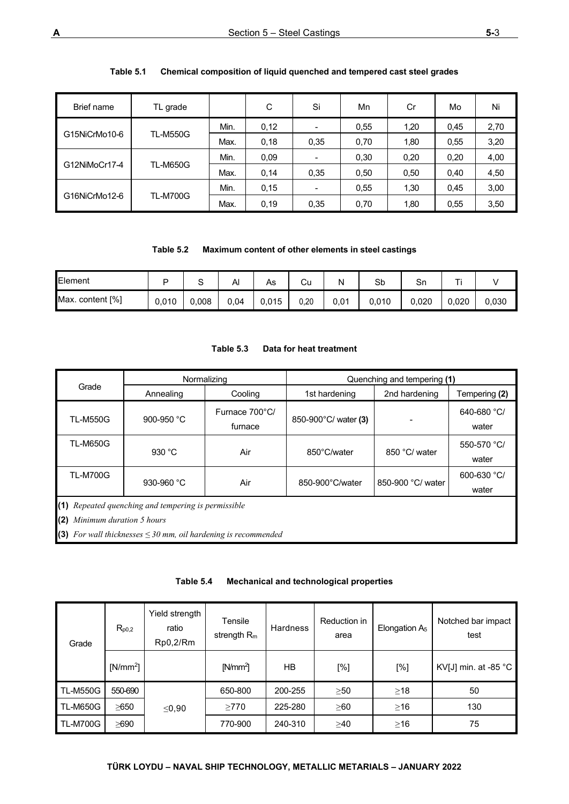| Brief name    | TL grade        |      | С    | Si   | Mn   | Cr   | Mo   | Ni   |
|---------------|-----------------|------|------|------|------|------|------|------|
|               |                 | Min. | 0,12 |      | 0,55 | 1,20 | 0.45 | 2,70 |
| G15NiCrMo10-6 | <b>TL-M550G</b> | Max. | 0,18 | 0,35 | 0.70 | 1,80 | 0,55 | 3,20 |
|               | <b>TL-M650G</b> | Min. | 0.09 |      | 0.30 | 0,20 | 0.20 | 4,00 |
| G12NiMoCr17-4 |                 | Max. | 0.14 | 0,35 | 0,50 | 0,50 | 0.40 | 4,50 |
|               | <b>TL-M700G</b> | Min. | 0.15 |      | 0,55 | 1,30 | 0.45 | 3,00 |
| G16NiCrMo12-6 |                 | Max. | 0.19 | 0,35 | 0.70 | 1,80 | 0,55 | 3,50 |

## **Table 5.1 Chemical composition of liquid quenched and tempered cast steel grades**

| Table 5.2 | Maximum content of other elements in steel castings |
|-----------|-----------------------------------------------------|
|-----------|-----------------------------------------------------|

| Element          |       | ֊     | Αı   | As    | Cu   | Ν    | Sb    | Sn    | ┯.<br><u>. . </u> |       |
|------------------|-------|-------|------|-------|------|------|-------|-------|-------------------|-------|
| Max. content [%] | 0,010 | 0,008 | 0.04 | 0,015 | 0,20 | 0,01 | 0,010 | 0.020 | 0.020             | 0.030 |

#### **Table 5.3 Data for heat treatment**

|                 | Normalizing                                                                                                                                                |                                                   | Quenching and tempering (1) |                   |                      |  |  |
|-----------------|------------------------------------------------------------------------------------------------------------------------------------------------------------|---------------------------------------------------|-----------------------------|-------------------|----------------------|--|--|
|                 | Grade<br>Annealing<br>Cooling<br>1st hardening                                                                                                             |                                                   |                             | 2nd hardening     | Tempering (2)        |  |  |
| <b>TL-M550G</b> | 900-950 °C                                                                                                                                                 | Furnace 700°C/<br>850-900°C/ water (3)<br>furnace |                             |                   | 640-680 °C/<br>water |  |  |
| <b>TL-M650G</b> | 930 $^{\circ}$ C                                                                                                                                           | Air                                               | 850°C/water                 | 850 °C/ water     | 550-570 °C/<br>water |  |  |
| <b>TL-M700G</b> | Air<br>930-960 $°C$                                                                                                                                        |                                                   | 850-900°C/water             | 850-900 °C/ water | 600-630 °C/<br>water |  |  |
|                 | (1) Repeated quenching and tempering is permissible<br>(2) Minimum duration 5 hours<br>(3) For wall thicknesses $\leq$ 30 mm, oil hardening is recommended |                                                   |                             |                   |                      |  |  |

| Table 5.4 |  | Mechanical and technological properties |  |
|-----------|--|-----------------------------------------|--|
|-----------|--|-----------------------------------------|--|

| Grade           | $R_{p0,2}$ | Yield strength<br>ratio<br>Rp0,2/Rm | Tensile<br>strength $R_m$ | <b>Hardness</b> | Reduction in<br>area | Elongation A <sub>5</sub> | Notched bar impact<br>test     |
|-----------------|------------|-------------------------------------|---------------------------|-----------------|----------------------|---------------------------|--------------------------------|
|                 | $[N/mm^2]$ |                                     | N/mm <sup>2</sup>         | HB              | [%]                  | [%]                       | KV[J] min. at -85 $^{\circ}$ C |
| <b>TL-M550G</b> | 550-690    |                                     | 650-800                   | 200-255         | $\geq 50$            | $\geq$ 18                 | 50                             |
| <b>TL-M650G</b> | $\geq$ 650 | ≤0,90                               | $\geq$ 770                | 225-280         | $\geq 60$            | $\geq$ 16                 | 130                            |
| <b>TL-M700G</b> | $\geq$ 690 |                                     | 770-900                   | 240-310         | $\geq 40$            | $\geq$ 16                 | 75                             |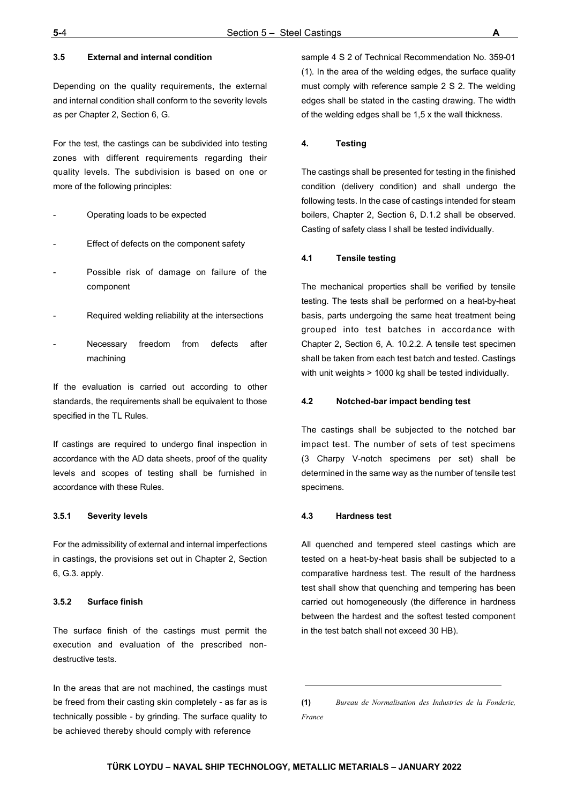#### **3.5 External and internal condition**

Depending on the quality requirements, the external and internal condition shall conform to the severity levels as per Chapter 2, Section 6, G.

For the test, the castings can be subdivided into testing zones with different requirements regarding their quality levels. The subdivision is based on one or more of the following principles:

- Operating loads to be expected
- Effect of defects on the component safety
- Possible risk of damage on failure of the component
- Required welding reliability at the intersections
- Necessary freedom from defects after machining

If the evaluation is carried out according to other standards, the requirements shall be equivalent to those specified in the TL Rules.

If castings are required to undergo final inspection in accordance with the AD data sheets, proof of the quality levels and scopes of testing shall be furnished in accordance with these Rules.

#### **3.5.1 Severity levels**

For the admissibility of external and internal imperfections in castings, the provisions set out in Chapter 2, Section 6, G.3. apply.

#### **3.5.2 Surface finish**

The surface finish of the castings must permit the execution and evaluation of the prescribed nondestructive tests.

In the areas that are not machined, the castings must be freed from their casting skin completely - as far as is technically possible - by grinding. The surface quality to be achieved thereby should comply with reference

sample 4 S 2 of Technical Recommendation No. 359-01 (1)*.* In the area of the welding edges, the surface quality must comply with reference sample 2 S 2. The welding edges shall be stated in the casting drawing. The width of the welding edges shall be 1,5 x the wall thickness.

#### <span id="page-29-0"></span>**4. Testing**

The castings shall be presented for testing in the finished condition (delivery condition) and shall undergo the following tests. In the case of castings intended for steam boilers, Chapter 2, Section 6, D.1.2 shall be observed. Casting of safety class I shall be tested individually.

#### **4.1 Tensile testing**

The mechanical properties shall be verified by tensile testing. The tests shall be performed on a heat-by-heat basis, parts undergoing the same heat treatment being grouped into test batches in accordance with Chapter 2, Section 6, A. 10.2.2. A tensile test specimen shall be taken from each test batch and tested. Castings with unit weights > 1000 kg shall be tested individually.

#### **4.2 Notched-bar impact bending test**

The castings shall be subjected to the notched bar impact test. The number of sets of test specimens (3 Charpy V-notch specimens per set) shall be determined in the same way as the number of tensile test specimens.

#### **4.3 Hardness test**

All quenched and tempered steel castings which are tested on a heat-by-heat basis shall be subjected to a comparative hardness test. The result of the hardness test shall show that quenching and tempering has been carried out homogeneously (the difference in hardness between the hardest and the softest tested component in the test batch shall not exceed 30 HB).

**(1)** *Bureau de Normalisation des Industries de la Fonderie, France*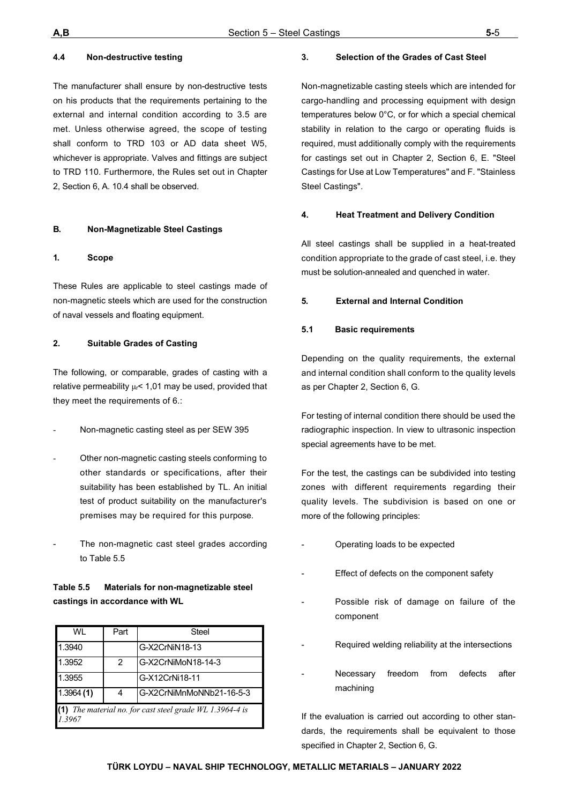#### **4.4 Non-destructive testing**

The manufacturer shall ensure by non-destructive tests on his products that the requirements pertaining to the external and internal condition according to 3.5 are met. Unless otherwise agreed, the scope of testing shall conform to TRD 103 or AD data sheet W5, whichever is appropriate. Valves and fittings are subject to TRD 110. Furthermore, the Rules set out in Chapter 2, Section 6, A. 10.4 shall be observed.

#### <span id="page-30-0"></span>**B. Non-Magnetizable Steel Castings**

#### <span id="page-30-1"></span>**1. Scope**

These Rules are applicable to steel castings made of non-magnetic steels which are used for the construction of naval vessels and floating equipment.

#### <span id="page-30-2"></span>**2. Suitable Grades of Casting**

The following, or comparable, grades of casting with a relative permeability  $\mu$ <sup><</sup> 1,01 may be used, provided that they meet the requirements of 6.:

- Non-magnetic casting steel as per SEW 395
- Other non-magnetic casting steels conforming to other standards or specifications, after their suitability has been established by TL. An initial test of product suitability on the manufacturer's premises may be required for this purpose.
- The non-magnetic cast steel grades according to Table 5.5

## **Table 5.5 Materials for non-magnetizable steel castings in accordance with WL**

| WI        | Part          | Steel                                                      |
|-----------|---------------|------------------------------------------------------------|
| 1.3940    |               | G-X2CrNiN18-13                                             |
| 1.3952    | $\mathcal{P}$ | G-X2CrNiMoN18-14-3                                         |
| 1.3955    |               | G-X12CrNi18-11                                             |
| 1.3964(1) | 4             | G-X2CrNiMnMoNNb21-16-5-3                                   |
| 1.3967    |               | (1) The material no. for cast steel grade $WL$ 1.3964-4 is |

#### <span id="page-30-3"></span>**3. Selection of the Grades of Cast Steel**

Non-magnetizable casting steels which are intended for cargo-handling and processing equipment with design temperatures below 0°C, or for which a special chemical stability in relation to the cargo or operating fluids is required, must additionally comply with the requirements for castings set out in Chapter 2, Section 6, E. "Steel Castings for Use at Low Temperatures" and F. "Stainless Steel Castings".

#### <span id="page-30-4"></span>**4. Heat Treatment and Delivery Condition**

All steel castings shall be supplied in a heat-treated condition appropriate to the grade of cast steel, i.e. they must be solution-annealed and quenched in water.

#### <span id="page-30-5"></span>**5. External and Internal Condition**

#### **5.1 Basic requirements**

Depending on the quality requirements, the external and internal condition shall conform to the quality levels as per Chapter 2, Section 6, G.

For testing of internal condition there should be used the radiographic inspection. In view to ultrasonic inspection special agreements have to be met.

For the test, the castings can be subdivided into testing zones with different requirements regarding their quality levels. The subdivision is based on one or more of the following principles:

- Operating loads to be expected
- Effect of defects on the component safety
- Possible risk of damage on failure of the component
- Required welding reliability at the intersections
- Necessary freedom from defects after machining

If the evaluation is carried out according to other standards, the requirements shall be equivalent to those specified in Chapter 2, Section 6, G.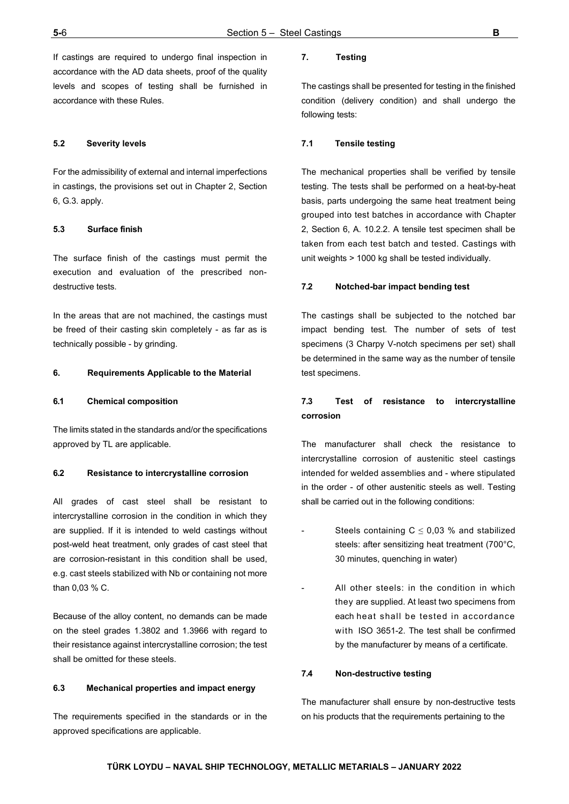If castings are required to undergo final inspection in accordance with the AD data sheets, proof of the quality levels and scopes of testing shall be furnished in accordance with these Rules.

#### **5.2 Severity levels**

For the admissibility of external and internal imperfections in castings, the provisions set out in Chapter 2, Section 6, G.3. apply.

#### **5.3 Surface finish**

The surface finish of the castings must permit the execution and evaluation of the prescribed nondestructive tests.

In the areas that are not machined, the castings must be freed of their casting skin completely - as far as is technically possible - by grinding.

#### <span id="page-31-0"></span>**6. Requirements Applicable to the Material**

#### **6.1 Chemical composition**

The limits stated in the standards and/or the specifications approved by TL are applicable.

#### **6.2 Resistance to intercrystalline corrosion**

All grades of cast steel shall be resistant to intercrystalline corrosion in the condition in which they are supplied. If it is intended to weld castings without post-weld heat treatment, only grades of cast steel that are corrosion-resistant in this condition shall be used, e.g. cast steels stabilized with Nb or containing not more than 0,03 % C.

Because of the alloy content, no demands can be made on the steel grades 1.3802 and 1.3966 with regard to their resistance against intercrystalline corrosion; the test shall be omitted for these steels.

#### **6.3 Mechanical properties and impact energy**

The requirements specified in the standards or in the approved specifications are applicable.

## <span id="page-31-1"></span>**7. Testing**

The castings shall be presented for testing in the finished condition (delivery condition) and shall undergo the following tests:

#### **7.1 Tensile testing**

The mechanical properties shall be verified by tensile testing. The tests shall be performed on a heat-by-heat basis, parts undergoing the same heat treatment being grouped into test batches in accordance with Chapter 2, Section 6, A. 10.2.2. A tensile test specimen shall be taken from each test batch and tested. Castings with unit weights > 1000 kg shall be tested individually.

#### **7.2 Notched-bar impact bending test**

The castings shall be subjected to the notched bar impact bending test. The number of sets of test specimens (3 Charpy V-notch specimens per set) shall be determined in the same way as the number of tensile test specimens.

## **7.3 Test of resistance to intercrystalline corrosion**

The manufacturer shall check the resistance to intercrystalline corrosion of austenitic steel castings intended for welded assemblies and - where stipulated in the order - of other austenitic steels as well. Testing shall be carried out in the following conditions:

- Steels containing  $C \leq 0.03$  % and stabilized steels: after sensitizing heat treatment (700°C, 30 minutes, quenching in water)
- All other steels: in the condition in which they are supplied. At least two specimens from each heat shall be tested in accordance with ISO 3651-2. The test shall be confirmed by the manufacturer by means of a certificate.

#### **7.4 Non-destructive testing**

The manufacturer shall ensure by non-destructive tests on his products that the requirements pertaining to the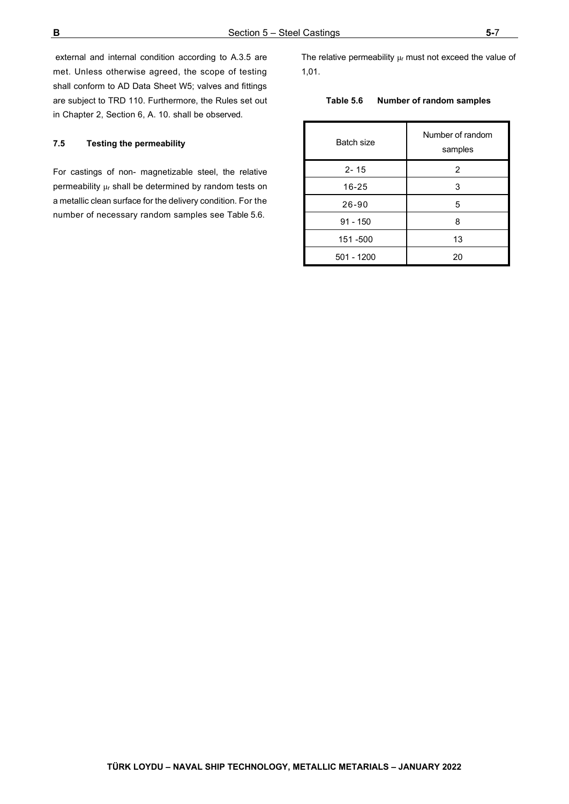external and internal condition according to A.3.5 are met. Unless otherwise agreed, the scope of testing shall conform to AD Data Sheet W5; valves and fittings are subject to TRD 110. Furthermore, the Rules set out in Chapter 2, Section 6, A. 10. shall be observed.

#### **7.5 Testing the permeability**

For castings of non- magnetizable steel, the relative permeability μ<sup>r</sup> shall be determined by random tests on a metallic clean surface for the delivery condition. For the number of necessary random samples see Table 5.6.

The relative permeability  $\mu$ r must not exceed the value of 1,01.

#### **Table 5.6 Number of random samples**

| Batch size | Number of random<br>samples |
|------------|-----------------------------|
| $2 - 15$   | 2                           |
| 16-25      | 3                           |
| $26 - 90$  | 5                           |
| $91 - 150$ | 8                           |
| 151 -500   | 13                          |
| 501 - 1200 | 20                          |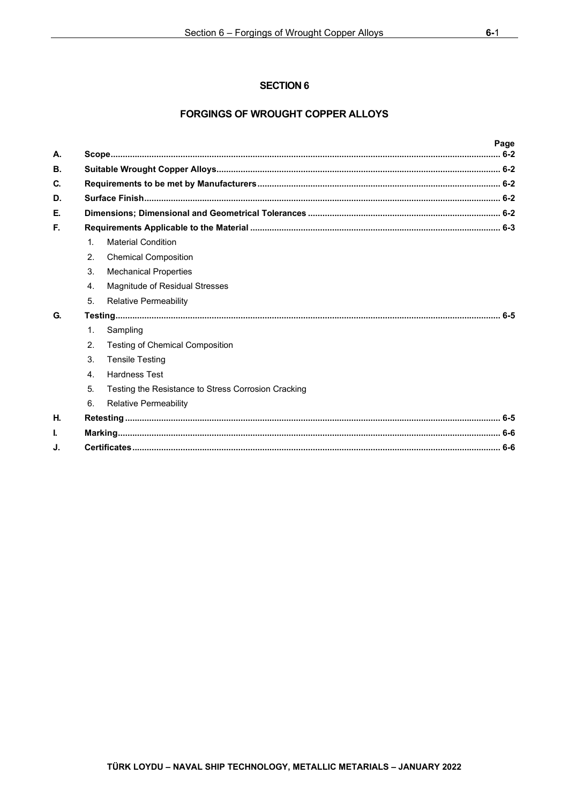## **FORGINGS OF WROUGHT COPPER ALLOYS**

| A.        |                |                                                     | Page |
|-----------|----------------|-----------------------------------------------------|------|
| <b>B.</b> |                |                                                     |      |
| C.        |                |                                                     |      |
| D.        |                |                                                     |      |
| Е.        |                |                                                     |      |
| E.        |                |                                                     |      |
|           | $\mathbf{1}$ . | <b>Material Condition</b>                           |      |
|           | 2 <sub>1</sub> | <b>Chemical Composition</b>                         |      |
|           | 3 <sub>1</sub> | <b>Mechanical Properties</b>                        |      |
|           | 4.             | Magnitude of Residual Stresses                      |      |
|           | 5.             | <b>Relative Permeability</b>                        |      |
| G.        |                |                                                     |      |
|           | $\mathbf{1}$ . | Sampling                                            |      |
|           | 2.             | <b>Testing of Chemical Composition</b>              |      |
|           | 3.             | <b>Tensile Testing</b>                              |      |
|           | $\mathbf{A}$   | <b>Hardness Test</b>                                |      |
|           | 5.             | Testing the Resistance to Stress Corrosion Cracking |      |
|           | 6.             | <b>Relative Permeability</b>                        |      |
| Η.        |                |                                                     |      |
| I.        |                |                                                     |      |
| J.        |                |                                                     |      |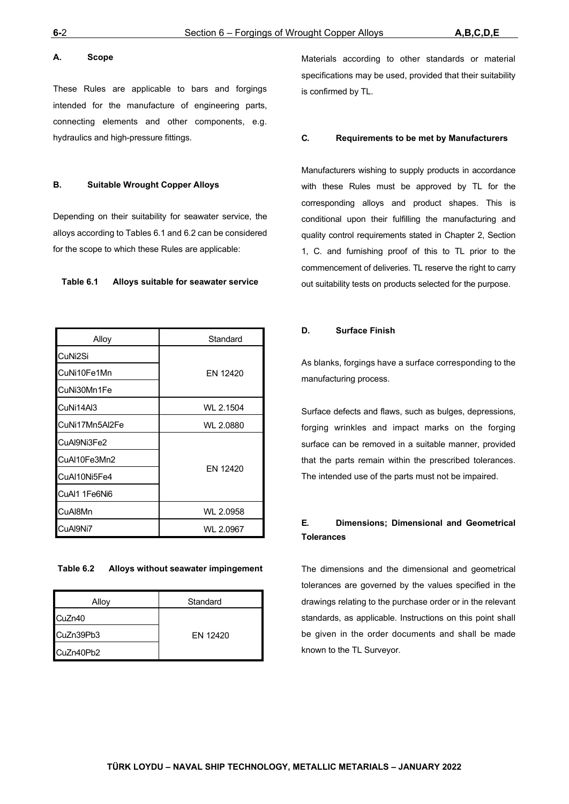#### <span id="page-34-0"></span>**A. Scope**

These Rules are applicable to bars and forgings intended for the manufacture of engineering parts, connecting elements and other components, e.g. hydraulics and high-pressure fittings.

#### <span id="page-34-1"></span>**B. Suitable Wrought Copper Alloys**

Depending on their suitability for seawater service, the alloys according to Tables 6.1 and 6.2 can be considered for the scope to which these Rules are applicable:

#### **Table 6.1 Alloys suitable for seawater service**

| Alloy          | Standard  |
|----------------|-----------|
| CuNi2Si        |           |
| CuNi10Fe1Mn    | FN 12420  |
| CuNi30Mn1Fe    |           |
| CuNi14Al3      | WL 2.1504 |
| CuNi17Mn5Al2Fe | WL 2.0880 |
| CuAl9Ni3Fe2    |           |
| CuAl10Fe3Mn2   |           |
| CuAl10Ni5Fe4   | EN 12420  |
| CuAl1 1Fe6Ni6  |           |
| CuAl8Mn        | WL 2.0958 |
| CuAl9Ni7       | WL 2.0967 |

#### **Table 6.2 Alloys without seawater impingement**

| Alloy     | Standard |
|-----------|----------|
| CuZn40    |          |
| CuZn39Pb3 | EN 12420 |
| CuZn40Pb2 |          |

Materials according to other standards or material specifications may be used, provided that their suitability is confirmed by TL.

#### <span id="page-34-2"></span>**C. Requirements to be met by Manufacturers**

Manufacturers wishing to supply products in accordance with these Rules must be approved by TL for the corresponding alloys and product shapes. This is conditional upon their fulfilling the manufacturing and quality control requirements stated in Chapter 2, Section 1, C. and furnishing proof of this to TL prior to the commencement of deliveries. TL reserve the right to carry out suitability tests on products selected for the purpose.

#### <span id="page-34-3"></span>**D. Surface Finish**

As blanks, forgings have a surface corresponding to the manufacturing process.

Surface defects and flaws, such as bulges, depressions, forging wrinkles and impact marks on the forging surface can be removed in a suitable manner, provided that the parts remain within the prescribed tolerances. The intended use of the parts must not be impaired.

## <span id="page-34-4"></span>**E. Dimensions; Dimensional and Geometrical Tolerances**

The dimensions and the dimensional and geometrical tolerances are governed by the values specified in the drawings relating to the purchase order or in the relevant standards, as applicable. Instructions on this point shall be given in the order documents and shall be made known to the TL Surveyor.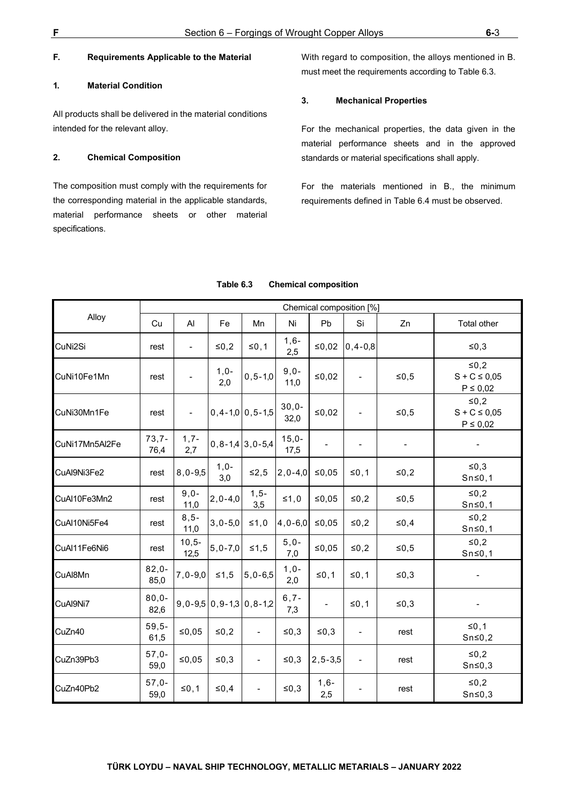### <span id="page-35-0"></span>**F. Requirements Applicable to the Material**

#### <span id="page-35-1"></span>**1. Material Condition**

All products shall be delivered in the material conditions intended for the relevant alloy.

#### <span id="page-35-2"></span>**2. Chemical Composition**

The composition must comply with the requirements for the corresponding material in the applicable standards, material performance sheets or other material specifications.

With regard to composition, the alloys mentioned in B. must meet the requirements according to Table 6.3.

#### <span id="page-35-3"></span>**3. Mechanical Properties**

For the mechanical properties, the data given in the material performance sheets and in the approved standards or material specifications shall apply.

For the materials mentioned in B., the minimum requirements defined in Table 6.4 must be observed.

|                | Chemical composition [%] |                  |                   |                                |                 |                          |                              |                |                                             |
|----------------|--------------------------|------------------|-------------------|--------------------------------|-----------------|--------------------------|------------------------------|----------------|---------------------------------------------|
| Alloy          | Cu                       | Al               | Fe                | Mn                             | Ni              | Pb                       | Si                           | Zn             | Total other                                 |
| CuNi2Si        | rest                     |                  | $≤0,2$            | $≤0,1$                         | $1,6-$<br>2,5   | ≤0,02                    | $0, 4 - 0, 8$                |                | $≤0,3$                                      |
| CuNi10Fe1Mn    | rest                     |                  | $1,0-$<br>2,0     | $0, 5 - 1, 0$                  | $9,0-$<br>11,0  | ≤0,02                    |                              | $≤0,5$         | $≤0,2$<br>$S + C \le 0.05$<br>$P \leq 0.02$ |
| CuNi30Mn1Fe    | rest                     | $\blacksquare$   |                   | $0, 4 - 1, 0 \mid 0, 5 - 1, 5$ | $30,0-$<br>32,0 | ≤0,02                    |                              | $≤0,5$         | $≤0,2$<br>$S + C \le 0.05$<br>$P \leq 0.02$ |
| CuNi17Mn5Al2Fe | $73,7-$<br>76,4          | $1,7-$<br>2,7    |                   | $0, 8 - 1, 4 \mid 3, 0 - 5, 4$ | $15,0-$<br>17,5 |                          | $\overline{\phantom{a}}$     | $\blacksquare$ |                                             |
| CuAl9Ni3Fe2    | rest                     | $8,0-9,5$        | $1,0-$<br>3,0     | ≤2,5                           | $2, 0 - 4, 0$   | ≤0,05                    | ≤0,1                         | ≤0,2           | $\leq 0, 3$<br>$Sn \le 0, 1$                |
| CuAl10Fe3Mn2   | rest                     | $9,0-$<br>11,0   | $2, 0 - 4, 0$     | $1, 5 -$<br>3,5                | $\leq 1,0$      | ≤0,05                    | ≤0,2                         | $≤0,5$         | $≤0,2$<br>$Sn \le 0, 1$                     |
| CuAl10Ni5Fe4   | rest                     | $8, 5 -$<br>11,0 | $3,0 - 5,0$       | $≤1,0$                         | $4,0 - 6,0$     | ≤0,05                    | $≤0,2$                       | $\leq 0, 4$    | $≤0,2$<br>$Sn \le 0, 1$                     |
| CuAl11Fe6Ni6   | rest                     | $10,5-$<br>12,5  | $5,0 - 7,0$       | $≤1,5$                         | $5,0-$<br>7,0   | $≤0,05$                  | $≤0,2$                       | $≤0,5$         | $≤0,2$<br>$Sn \le 0, 1$                     |
| CuAl8Mn        | $82,0-$<br>85,0          | $7,0-9,0$        | $≤1,5$            | $5,0-6,5$                      | $1,0-$<br>2,0   | $≤0,1$                   | $≤0,1$                       | ≤0,3           |                                             |
| CuAl9Ni7       | $80,0-$<br>82,6          |                  | $9,0-9,5$ 0,9-1,3 | $0, 8 - 1, 2$                  | $6, 7 -$<br>7,3 | $\overline{\phantom{0}}$ | ≤0,1                         | ≤0,3           |                                             |
| CuZn40         | $59,5-$<br>61,5          | ≤0,05            | $≤0,2$            | $\blacksquare$                 | ≤0,3            | ≤ $0,3$                  | $\qquad \qquad \blacksquare$ | rest           | $≤0,1$<br>$Sn \le 0,2$                      |
| CuZn39Pb3      | $57,0-$<br>59,0          | ≤0,05            | ≤ $0,3$           | $\overline{\phantom{a}}$       | ≤ $0,3$         | $2, 5 - 3, 5$            | $\overline{\phantom{a}}$     | rest           | $≤0,2$<br>$Sn \le 0,3$                      |
| CuZn40Pb2      | $57,0-$<br>59,0          | $≤0,1$           | $\leq 0,4$        |                                | ≤ $0,3$         | $1,6-$<br>2,5            |                              | rest           | $≤0,2$<br>$Sn \le 0,3$                      |

#### **Table 6.3 Chemical composition**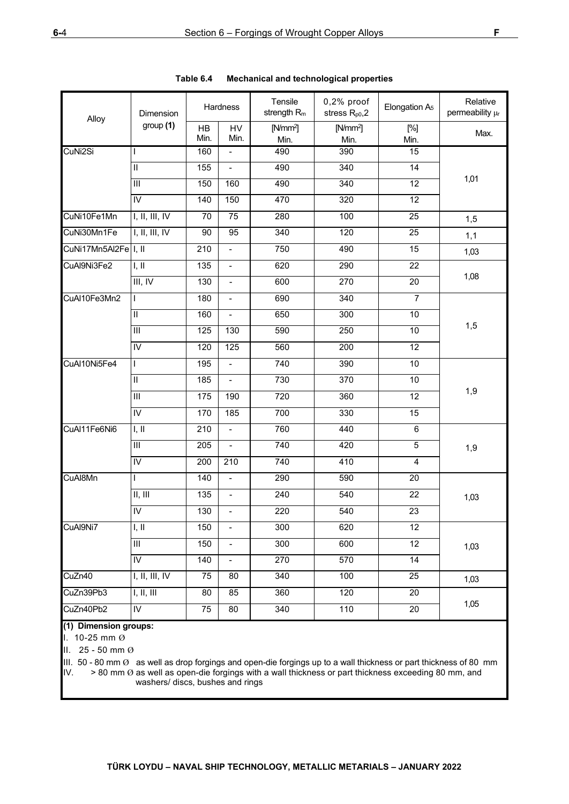| Alloy                | Dimension                                | Hardness         |                          | Tensile<br>strength R <sub>m</sub> | $0,2%$ proof<br>stress $R_{p0}$ , 2 | Elongation A <sub>5</sub> | Relative<br>permeability µr |  |
|----------------------|------------------------------------------|------------------|--------------------------|------------------------------------|-------------------------------------|---------------------------|-----------------------------|--|
|                      | group(1)                                 | HB<br>Min.       | HV<br>Min.               | $[N/mm^2]$<br>Min.                 | $[N/mm^2]$<br>Min.                  | [%]<br>Min.               | Max.                        |  |
| CuNi2Si              | T                                        | 160              | $\blacksquare$           | 490                                | 390                                 | 15                        |                             |  |
|                      | $\overline{\mathbb{I}}$                  | 155              | $\overline{a}$           | 490                                | 340                                 | 14                        |                             |  |
|                      | $\overline{\mathbb{I}}$                  | 150              | 160                      | 490                                | 340                                 | $\overline{12}$           | 1,01                        |  |
|                      | $\overline{N}$                           | 140              | 150                      | 470                                | 320                                 | 12                        |                             |  |
| CuNi10Fe1Mn          | I, II, III, IV<br>70<br>75<br>280<br>100 |                  |                          | 25                                 | 1,5                                 |                           |                             |  |
| CuNi30Mn1Fe          | I, II, III, IV                           | 90               | 95                       | 340                                | 120                                 | 25                        | 1,1                         |  |
| CuNi17Mn5Al2Fe I, II |                                          | 210              | $\blacksquare$           | 750                                | 490                                 | 15                        | 1,03                        |  |
| CuAl9Ni3Fe2          | I, II                                    | $\overline{135}$ | $\overline{\phantom{a}}$ | 620                                | 290                                 | $\overline{22}$           |                             |  |
|                      | III, IV                                  | 130              | $\overline{a}$           | 600                                | 270                                 | 20                        | 1,08                        |  |
| CuAl10Fe3Mn2         | $\mathbf{I}$                             | 180              | $\frac{1}{2}$            | 690                                | 340                                 | $\overline{7}$            |                             |  |
|                      | $\overline{\mathbb{I}}$                  | 160              | $\blacksquare$           | 650                                | 300                                 | $\overline{10}$           |                             |  |
|                      | $\overline{\mathbb{I}}$                  | 125              | $\overline{130}$         | 590                                | 250                                 | $\overline{10}$           | 1,5                         |  |
|                      | $\overline{N}$                           | 120              | 125                      | 560                                | 200                                 | $\overline{12}$           |                             |  |
| CuAl10Ni5Fe4         | $\mathbf{I}$                             | 195              | $\blacksquare$           | 740                                | 390                                 | 10                        |                             |  |
|                      | $\overline{\mathbb{I}}$                  | 185              | $\blacksquare$           | 730                                | 370                                 | $\overline{10}$           |                             |  |
|                      | $\overline{III}$                         | 175              | 190                      | 720                                | 360                                 | $\overline{12}$           | 1,9                         |  |
|                      | $\overline{N}$                           | 170              | 185                      | 700                                | 330                                 | 15                        |                             |  |
| CuAl11Fe6Ni6         | I, II                                    | 210              | $\blacksquare$           | 760                                | 440                                 | $\overline{6}$            |                             |  |
|                      | $\overline{\mathbb{H}}$                  | 205              | $\blacksquare$           | 740                                | 420                                 | $\overline{5}$            | 1,9                         |  |
|                      | $\mathsf{IV}$                            | 200              | 210                      | 740                                | 410                                 | $\overline{4}$            |                             |  |
| CuAl8Mn              | $\mathbf{I}$                             | 140              | $\overline{\phantom{a}}$ | 290                                | 590                                 | 20                        |                             |  |
|                      | II, III                                  | 135              | $\frac{1}{2}$            | 240                                | 540                                 | 22                        | 1,03                        |  |
|                      | $\overline{N}$                           | 130              | $\overline{a}$           | 220                                | 540                                 | 23                        |                             |  |
| CuAl9Ni7             | I, II                                    | 150              | $\blacksquare$           | 300                                | 620                                 | $\overline{12}$           |                             |  |
|                      | $\mathop{\rm III}$                       | 150              | $\blacksquare$           | 300                                | 600                                 | 12                        | 1,03                        |  |
|                      | $\overline{N}$                           | 140              | $\blacksquare$           | 270                                | 570                                 | 14                        |                             |  |
| CuZn40               | I, II, III, IV                           | 75               | 80                       | 340                                | 100                                 | 25                        | 1,03                        |  |
| CuZn39Pb3            | I, II, III                               | 80               | 85                       | 360                                | 120                                 | 20                        |                             |  |
| CuZn40Pb2            | $\mathsf{I}\mathsf{V}$                   | 75               | 80                       | 340                                | 110                                 | 20                        | 1,05                        |  |

| Table 6.4 |  |  | <b>Mechanical and technological properties</b> |  |
|-----------|--|--|------------------------------------------------|--|
|-----------|--|--|------------------------------------------------|--|

## **(1) Dimension groups:**

I. 10-25 mm Ø

II. 25 - 50 mm Ø

III. 50 - 80 mm Ø as well as drop forgings and open-die forgings up to a wall thickness or part thickness of 80 mm<br>IV. > 80 mm Ø as well as open-die forgings with a wall thickness or part thickness exceeding 80 mm, and  $>$  80 mm  $\emptyset$  as well as open-die forgings with a wall thickness or part thickness exceeding 80 mm, and washers/ discs, bushes and rings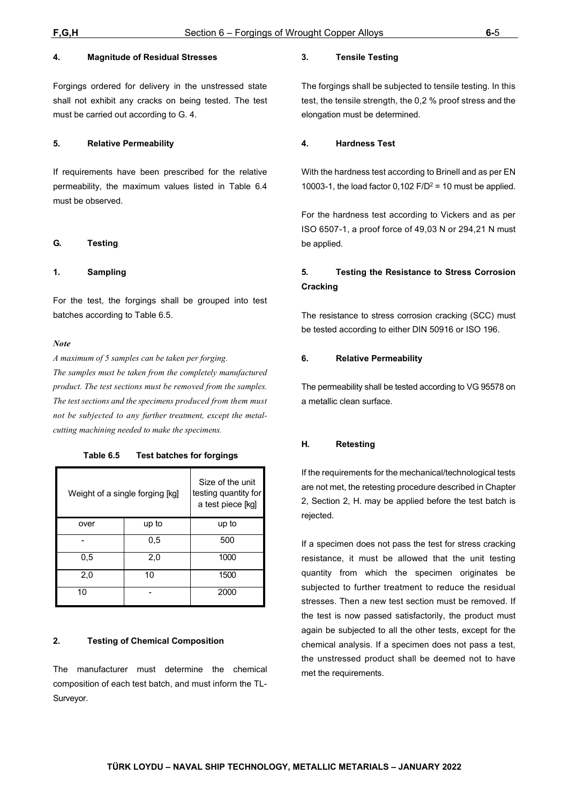#### <span id="page-37-0"></span>**4. Magnitude of Residual Stresses**

Forgings ordered for delivery in the unstressed state shall not exhibit any cracks on being tested. The test must be carried out according to G. 4.

#### <span id="page-37-1"></span>**5. Relative Permeability**

If requirements have been prescribed for the relative permeability, the maximum values listed in Table 6.4 must be observed.

#### <span id="page-37-2"></span>**G. Testing**

#### <span id="page-37-3"></span>**1. Sampling**

For the test, the forgings shall be grouped into test batches according to Table 6.5.

#### *Note*

*A maximum of 5 samples can be taken per forging.*

*The samples must be taken from the completely manufactured product. The test sections must be removed from the samples. The test sections and the specimens produced from them must not be subjected to any further treatment, except the metalcutting machining needed to make the specimens.*

**Table 6.5 Test batches for forgings**

| Weight of a single forging [kg] | Size of the unit<br>testing quantity for<br>a test piece [kg] |       |
|---------------------------------|---------------------------------------------------------------|-------|
| over                            | up to                                                         | up to |
|                                 | 0.5                                                           | 500   |
| 0.5                             | 2,0                                                           | 1000  |
| 2,0                             | 10                                                            | 1500  |
| 10                              |                                                               | 2000  |

#### <span id="page-37-4"></span>**2. Testing of Chemical Composition**

The manufacturer must determine the chemical composition of each test batch, and must inform the TL-Surveyor.

#### <span id="page-37-5"></span>**3. Tensile Testing**

The forgings shall be subjected to tensile testing. In this test, the tensile strength, the 0,2 % proof stress and the elongation must be determined.

#### <span id="page-37-6"></span>**4. Hardness Test**

With the hardness test according to Brinell and as per EN 10003-1, the load factor  $0,102$  F/D<sup>2</sup> = 10 must be applied.

For the hardness test according to Vickers and as per ISO 6507-1, a proof force of 49,03 N or 294,21 N must be applied.

## <span id="page-37-7"></span>**5. Testing the Resistance to Stress Corrosion Cracking**

The resistance to stress corrosion cracking (SCC) must be tested according to either DIN 50916 or ISO 196.

#### <span id="page-37-8"></span>**6. Relative Permeability**

The permeability shall be tested according to VG 95578 on a metallic clean surface.

#### <span id="page-37-9"></span>**H. Retesting**

If the requirements for the mechanical/technological tests are not met, the retesting procedure described in Chapter 2, Section 2, H. may be applied before the test batch is rejected.

If a specimen does not pass the test for stress cracking resistance, it must be allowed that the unit testing quantity from which the specimen originates be subjected to further treatment to reduce the residual stresses. Then a new test section must be removed. If the test is now passed satisfactorily, the product must again be subjected to all the other tests, except for the chemical analysis. If a specimen does not pass a test, the unstressed product shall be deemed not to have met the requirements.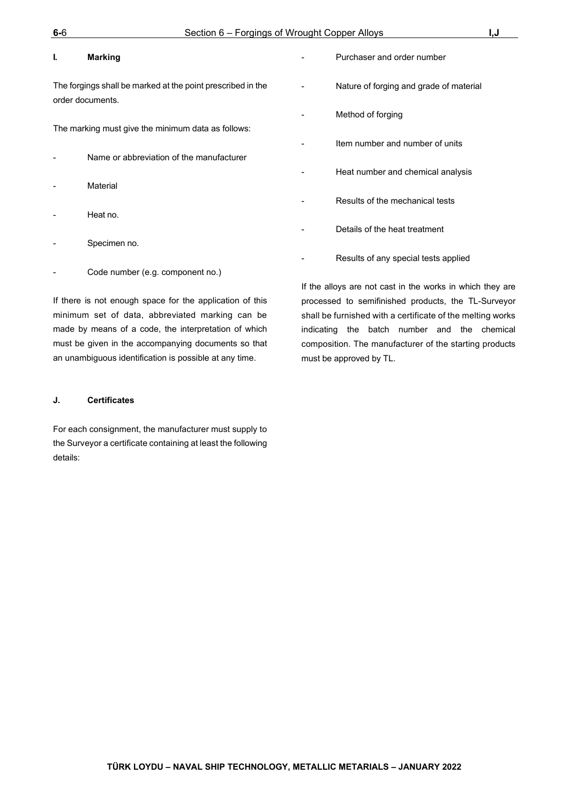#### <span id="page-38-0"></span>**I. Marking**

The forgings shall be marked at the point prescribed in the order documents.

The marking must give the minimum data as follows:

- Name or abbreviation of the manufacturer
- **Material**
- Heat no.
- Specimen no.
- Code number (e.g. component no.)

If there is not enough space for the application of this minimum set of data, abbreviated marking can be made by means of a code, the interpretation of which must be given in the accompanying documents so that an unambiguous identification is possible at any time.

#### <span id="page-38-1"></span>**J. Certificates**

For each consignment, the manufacturer must supply to the Surveyor a certificate containing at least the following details:

- Purchaser and order number Nature of forging and grade of material Method of forging Item number and number of units Heat number and chemical analysis Results of the mechanical tests Details of the heat treatment
	- Results of any special tests applied

If the alloys are not cast in the works in which they are processed to semifinished products, the TL-Surveyor shall be furnished with a certificate of the melting works indicating the batch number and the chemical composition. The manufacturer of the starting products must be approved by TL.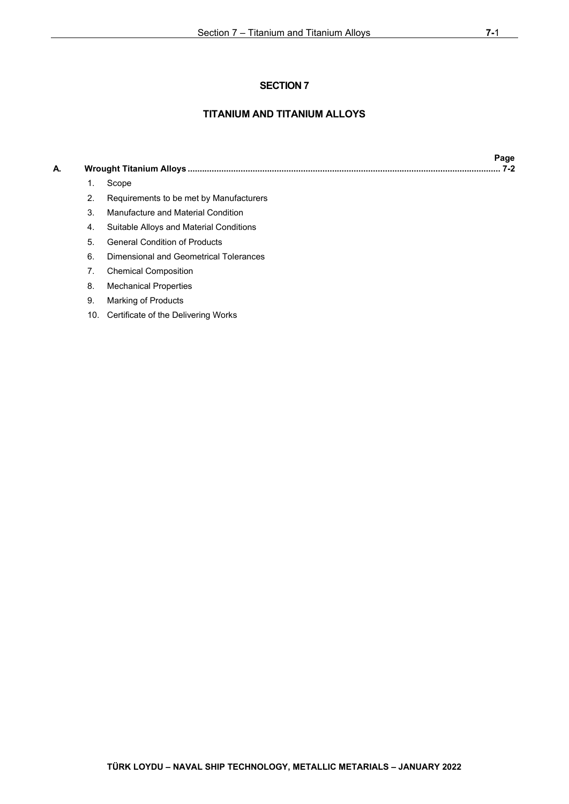## **TITANIUM AND TITANIUM ALLOYS**

## **A. Wrought Titanium Alloys [.................................................................................................................................. 7-2](#page-40-0)**

- [1. Scope](#page-40-1)
- 2. [Requirements to be met by Manufacturers](#page-40-2)
- 3. [Manufacture and Material Condition](#page-40-3)
- 4. [Suitable Alloys and Material Conditions](#page-40-4)
- 5. [General Condition](#page-40-5) of Products
- 6. [Dimensional and Geometrical Tolerances](#page-40-6)
- 7. [Chemical Composition](#page-40-7)
- 8. [Mechanical Properties](#page-40-8)
- 9. [Marking of Products](#page-42-0)
- 10. [Certificate of the Delivering Works](#page-42-1)

 **Page**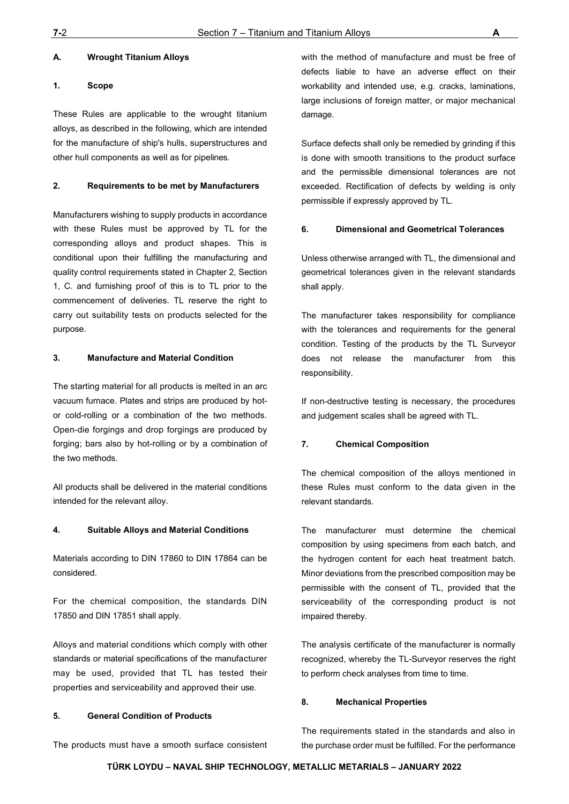#### <span id="page-40-0"></span>**A. Wrought Titanium Alloys**

#### <span id="page-40-1"></span>**1. Scope**

These Rules are applicable to the wrought titanium alloys, as described in the following, which are intended for the manufacture of ship's hulls, superstructures and other hull components as well as for pipelines.

#### <span id="page-40-2"></span>**2. Requirements to be met by Manufacturers**

Manufacturers wishing to supply products in accordance with these Rules must be approved by TL for the corresponding alloys and product shapes. This is conditional upon their fulfilling the manufacturing and quality control requirements stated in Chapter 2, Section 1, C. and furnishing proof of this is to TL prior to the commencement of deliveries. TL reserve the right to carry out suitability tests on products selected for the purpose.

#### <span id="page-40-3"></span>**3. Manufacture and Material Condition**

The starting material for all products is melted in an arc vacuum furnace. Plates and strips are produced by hotor cold-rolling or a combination of the two methods. Open-die forgings and drop forgings are produced by forging; bars also by hot-rolling or by a combination of the two methods.

All products shall be delivered in the material conditions intended for the relevant alloy.

#### <span id="page-40-4"></span>**4. Suitable Alloys and Material Conditions**

Materials according to DIN 17860 to DIN 17864 can be considered.

For the chemical composition, the standards DIN 17850 and DIN 17851 shall apply.

Alloys and material conditions which comply with other standards or material specifications of the manufacturer may be used, provided that TL has tested their properties and serviceability and approved their use.

#### <span id="page-40-5"></span>**5. General Condition of Products**

The products must have a smooth surface consistent

with the method of manufacture and must be free of defects liable to have an adverse effect on their workability and intended use, e.g. cracks, laminations, large inclusions of foreign matter, or major mechanical damage.

Surface defects shall only be remedied by grinding if this is done with smooth transitions to the product surface and the permissible dimensional tolerances are not exceeded. Rectification of defects by welding is only permissible if expressly approved by TL.

#### <span id="page-40-6"></span>**6. Dimensional and Geometrical Tolerances**

Unless otherwise arranged with TL, the dimensional and geometrical tolerances given in the relevant standards shall apply.

The manufacturer takes responsibility for compliance with the tolerances and requirements for the general condition. Testing of the products by the TL Surveyor does not release the manufacturer from this responsibility.

If non-destructive testing is necessary, the procedures and judgement scales shall be agreed with TL.

#### <span id="page-40-7"></span>**7. Chemical Composition**

The chemical composition of the alloys mentioned in these Rules must conform to the data given in the relevant standards.

The manufacturer must determine the chemical composition by using specimens from each batch, and the hydrogen content for each heat treatment batch. Minor deviations from the prescribed composition may be permissible with the consent of TL, provided that the serviceability of the corresponding product is not impaired thereby.

The analysis certificate of the manufacturer is normally recognized, whereby the TL-Surveyor reserves the right to perform check analyses from time to time.

#### <span id="page-40-8"></span>**8. Mechanical Properties**

The requirements stated in the standards and also in the purchase order must be fulfilled. For the performance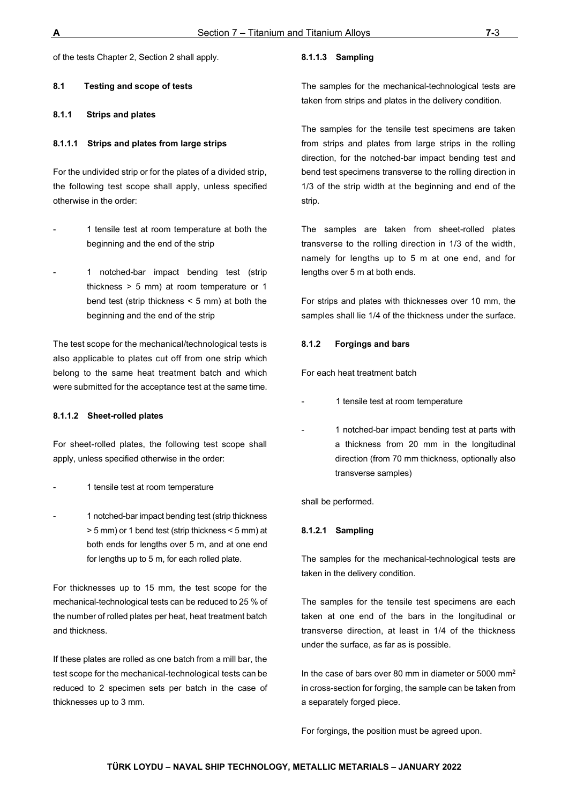of the tests Chapter 2, Section 2 shall apply.

**8.1 Testing and scope of tests** 

#### **8.1.1 Strips and plates**

#### **8.1.1.1 Strips and plates from large strips**

For the undivided strip or for the plates of a divided strip, the following test scope shall apply, unless specified otherwise in the order:

- 1 tensile test at room temperature at both the beginning and the end of the strip
- 1 notched-bar impact bending test (strip thickness > 5 mm) at room temperature or 1 bend test (strip thickness < 5 mm) at both the beginning and the end of the strip

The test scope for the mechanical/technological tests is also applicable to plates cut off from one strip which belong to the same heat treatment batch and which were submitted for the acceptance test at the same time.

#### **8.1.1.2 Sheet-rolled plates**

For sheet-rolled plates, the following test scope shall apply, unless specified otherwise in the order:

- 1 tensile test at room temperature
- 1 notched-bar impact bending test (strip thickness > 5 mm) or 1 bend test (strip thickness < 5 mm) at both ends for lengths over 5 m, and at one end for lengths up to 5 m, for each rolled plate.

For thicknesses up to 15 mm, the test scope for the mechanical-technological tests can be reduced to 25 % of the number of rolled plates per heat, heat treatment batch and thickness.

If these plates are rolled as one batch from a mill bar, the test scope for the mechanical-technological tests can be reduced to 2 specimen sets per batch in the case of thicknesses up to 3 mm.

#### **8.1.1.3 Sampling**

The samples for the mechanical-technological tests are taken from strips and plates in the delivery condition.

The samples for the tensile test specimens are taken from strips and plates from large strips in the rolling direction, for the notched-bar impact bending test and bend test specimens transverse to the rolling direction in 1/3 of the strip width at the beginning and end of the strip.

The samples are taken from sheet-rolled plates transverse to the rolling direction in 1/3 of the width, namely for lengths up to 5 m at one end, and for lengths over 5 m at both ends.

For strips and plates with thicknesses over 10 mm, the samples shall lie 1/4 of the thickness under the surface.

#### **8.1.2 Forgings and bars**

For each heat treatment batch

- 1 tensile test at room temperature
- 1 notched-bar impact bending test at parts with a thickness from 20 mm in the longitudinal direction (from 70 mm thickness, optionally also transverse samples)

shall be performed.

#### **8.1.2.1 Sampling**

The samples for the mechanical-technological tests are taken in the delivery condition.

The samples for the tensile test specimens are each taken at one end of the bars in the longitudinal or transverse direction, at least in 1/4 of the thickness under the surface, as far as is possible.

In the case of bars over 80 mm in diameter or 5000 mm<sup>2</sup> in cross-section for forging, the sample can be taken from a separately forged piece.

For forgings, the position must be agreed upon.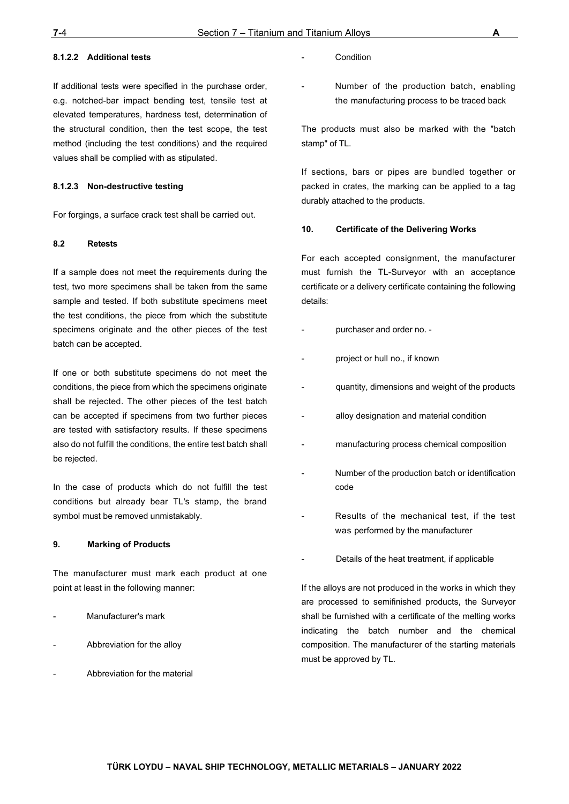#### **8.1.2.2 Additional tests**

If additional tests were specified in the purchase order, e.g. notched-bar impact bending test, tensile test at elevated temperatures, hardness test, determination of the structural condition, then the test scope, the test method (including the test conditions) and the required values shall be complied with as stipulated.

#### **8.1.2.3 Non-destructive testing**

For forgings, a surface crack test shall be carried out.

#### **8.2 Retests**

If a sample does not meet the requirements during the test, two more specimens shall be taken from the same sample and tested. If both substitute specimens meet the test conditions, the piece from which the substitute specimens originate and the other pieces of the test batch can be accepted.

If one or both substitute specimens do not meet the conditions, the piece from which the specimens originate shall be rejected. The other pieces of the test batch can be accepted if specimens from two further pieces are tested with satisfactory results. If these specimens also do not fulfill the conditions, the entire test batch shall be rejected.

In the case of products which do not fulfill the test conditions but already bear TL's stamp, the brand symbol must be removed unmistakably.

#### <span id="page-42-0"></span>**9. Marking of Products**

The manufacturer must mark each product at one point at least in the following manner:

- Manufacturer's mark
- Abbreviation for the alloy
- Abbreviation for the material
- **Condition**
- Number of the production batch, enabling the manufacturing process to be traced back

The products must also be marked with the "batch stamp" of TL.

If sections, bars or pipes are bundled together or packed in crates, the marking can be applied to a tag durably attached to the products.

#### <span id="page-42-1"></span>**10. Certificate of the Delivering Works**

For each accepted consignment, the manufacturer must furnish the TL-Surveyor with an acceptance certificate or a delivery certificate containing the following details:

- purchaser and order no. -
- project or hull no., if known
- quantity, dimensions and weight of the products
- alloy designation and material condition
- manufacturing process chemical composition
- Number of the production batch or identification code
- Results of the mechanical test, if the test was performed by the manufacturer
- Details of the heat treatment, if applicable

If the alloys are not produced in the works in which they are processed to semifinished products, the Surveyor shall be furnished with a certificate of the melting works indicating the batch number and the chemical composition. The manufacturer of the starting materials must be approved by TL.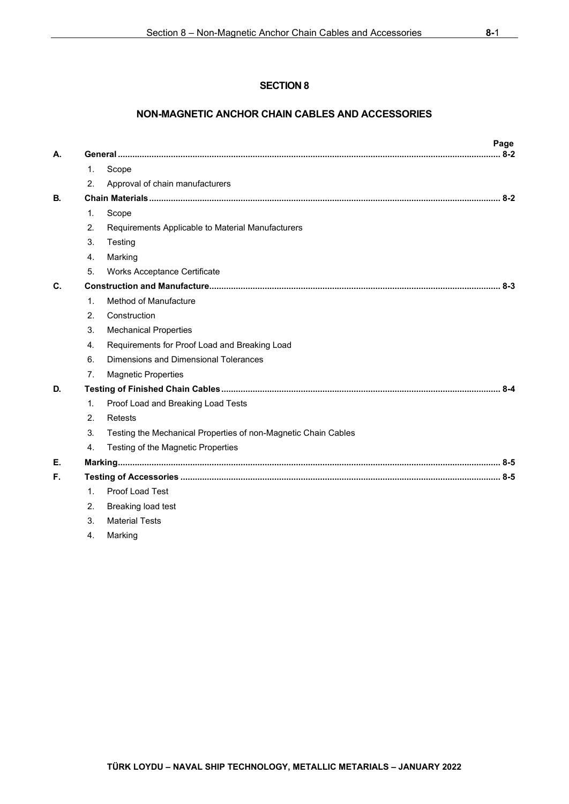## **NON-MAGNETIC ANCHOR CHAIN CABLES AND ACCESSORIES**

| Α. |                  |                                                                | Page<br>$8 - 2$ |
|----|------------------|----------------------------------------------------------------|-----------------|
|    | $\mathbf{1}$ .   | Scope                                                          |                 |
|    | 2.               | Approval of chain manufacturers                                |                 |
| В. |                  |                                                                |                 |
|    | 1.               | Scope                                                          |                 |
|    | 2.               | Requirements Applicable to Material Manufacturers              |                 |
|    | 3.               | Testing                                                        |                 |
|    | 4.               | Marking                                                        |                 |
|    | 5.               | Works Acceptance Certificate                                   |                 |
| C. |                  |                                                                |                 |
|    | $\mathbf{1}$ .   | Method of Manufacture                                          |                 |
|    | 2.               | Construction                                                   |                 |
|    | 3.               | <b>Mechanical Properties</b>                                   |                 |
|    | $\overline{4}$ . | Requirements for Proof Load and Breaking Load                  |                 |
|    | 6.               | Dimensions and Dimensional Tolerances                          |                 |
|    | 7 <sub>1</sub>   | <b>Magnetic Properties</b>                                     |                 |
| D. |                  |                                                                |                 |
|    | $\mathbf{1}$     | Proof Load and Breaking Load Tests                             |                 |
|    | 2.               | Retests                                                        |                 |
|    | 3.               | Testing the Mechanical Properties of non-Magnetic Chain Cables |                 |
|    | 4.               | Testing of the Magnetic Properties                             |                 |
| Е. |                  |                                                                |                 |
| F. |                  |                                                                |                 |
|    | 1 <sub>1</sub>   | Proof Load Test                                                |                 |
|    | 2.               | Breaking load test                                             |                 |
|    | 3.               | <b>Material Tests</b>                                          |                 |

[4. Marking](#page-48-1)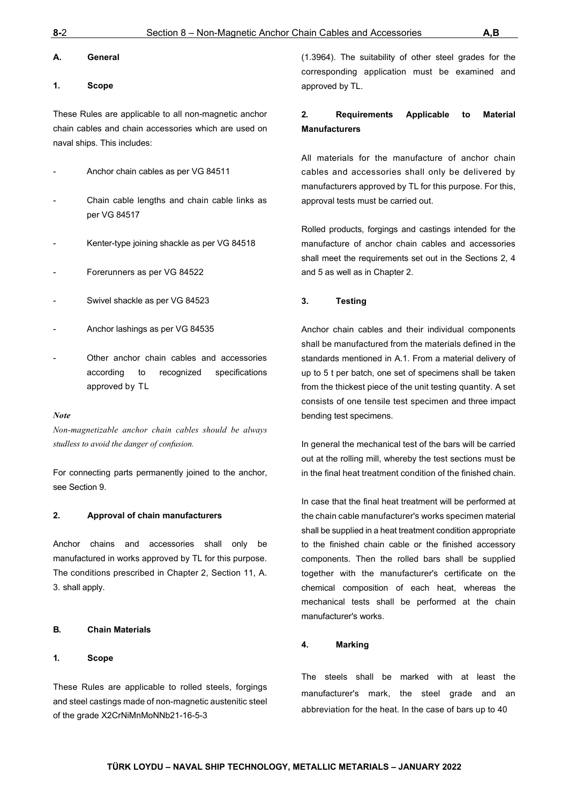#### <span id="page-44-0"></span>**A. General**

#### <span id="page-44-1"></span>**1. Scope**

These Rules are applicable to all non-magnetic anchor chain cables and chain accessories which are used on naval ships. This includes:

- Anchor chain cables as per VG 84511
- Chain cable lengths and chain cable links as per VG 84517
- Kenter-type joining shackle as per VG 84518
- Forerunners as per VG 84522
- Swivel shackle as per VG 84523
- Anchor lashings as per VG 84535
- Other anchor chain cables and accessories according to recognized specifications approved by TL

#### *Note*

*Non-magnetizable anchor chain cables should be always studless to avoid the danger of confusion.*

For connecting parts permanently joined to the anchor, see Section 9.

#### <span id="page-44-2"></span>**2. Approval of chain manufacturers**

Anchor chains and accessories shall only be manufactured in works approved by TL for this purpose. The conditions prescribed in Chapter 2, Section 11, A. 3. shall apply.

#### <span id="page-44-3"></span>**B. Chain Materials**

#### <span id="page-44-4"></span>**1. Scope**

These Rules are applicable to rolled steels, forgings and steel castings made of non-magnetic austenitic steel of the grade X2CrNiMnMoNNb21-16-5-3

(1.3964). The suitability of other steel grades for the corresponding application must be examined and approved by TL.

## <span id="page-44-5"></span>**2. Requirements Applicable to Material Manufacturers**

All materials for the manufacture of anchor chain cables and accessories shall only be delivered by manufacturers approved by TL for this purpose. For this, approval tests must be carried out.

Rolled products, forgings and castings intended for the manufacture of anchor chain cables and accessories shall meet the requirements set out in the Sections 2, 4 and 5 as well as in Chapter 2.

#### <span id="page-44-6"></span>**3. Testing**

Anchor chain cables and their individual components shall be manufactured from the materials defined in the standards mentioned in A.1. From a material delivery of up to 5 t per batch, one set of specimens shall be taken from the thickest piece of the unit testing quantity. A set consists of one tensile test specimen and three impact bending test specimens.

In general the mechanical test of the bars will be carried out at the rolling mill, whereby the test sections must be in the final heat treatment condition of the finished chain.

In case that the final heat treatment will be performed at the chain cable manufacturer's works specimen material shall be supplied in a heat treatment condition appropriate to the finished chain cable or the finished accessory components. Then the rolled bars shall be supplied together with the manufacturer's certificate on the chemical composition of each heat, whereas the mechanical tests shall be performed at the chain manufacturer's works.

#### <span id="page-44-7"></span>**4. Marking**

The steels shall be marked with at least the manufacturer's mark, the steel grade and an abbreviation for the heat. In the case of bars up to 40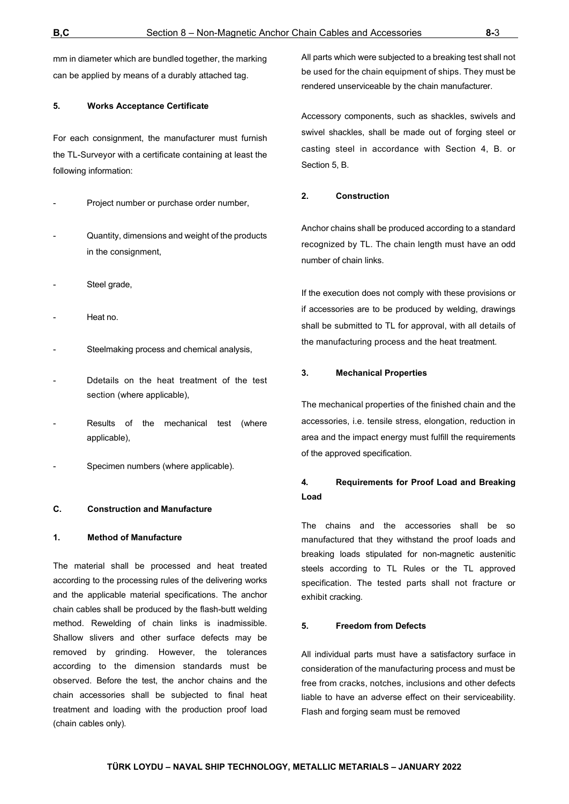mm in diameter which are bundled together, the marking can be applied by means of a durably attached tag.

#### <span id="page-45-0"></span>**5. Works Acceptance Certificate**

For each consignment, the manufacturer must furnish the TL-Surveyor with a certificate containing at least the following information:

- Project number or purchase order number,
- Quantity, dimensions and weight of the products in the consignment,
- Steel grade,
- Heat no.
- Steelmaking process and chemical analysis,
- Ddetails on the heat treatment of the test section (where applicable),
- Results of the mechanical test (where applicable),
- Specimen numbers (where applicable).

## <span id="page-45-1"></span>**C. Construction and Manufacture**

#### <span id="page-45-2"></span>**1. Method of Manufacture**

The material shall be processed and heat treated according to the processing rules of the delivering works and the applicable material specifications. The anchor chain cables shall be produced by the flash-butt welding method. Rewelding of chain links is inadmissible. Shallow slivers and other surface defects may be removed by grinding. However, the tolerances according to the dimension standards must be observed. Before the test, the anchor chains and the chain accessories shall be subjected to final heat treatment and loading with the production proof load (chain cables only).

All parts which were subjected to a breaking test shall not be used for the chain equipment of ships. They must be rendered unserviceable by the chain manufacturer.

Accessory components, such as shackles, swivels and swivel shackles, shall be made out of forging steel or casting steel in accordance with Section 4, B. or Section 5, B.

#### <span id="page-45-3"></span>**2. Construction**

Anchor chains shall be produced according to a standard recognized by TL. The chain length must have an odd number of chain links.

If the execution does not comply with these provisions or if accessories are to be produced by welding, drawings shall be submitted to TL for approval, with all details of the manufacturing process and the heat treatment.

#### <span id="page-45-4"></span>**3. Mechanical Properties**

The mechanical properties of the finished chain and the accessories, i.e. tensile stress, elongation, reduction in area and the impact energy must fulfill the requirements of the approved specification.

## <span id="page-45-5"></span>**4. Requirements for Proof Load and Breaking Load**

The chains and the accessories shall be so manufactured that they withstand the proof loads and breaking loads stipulated for non-magnetic austenitic steels according to TL Rules or the TL approved specification. The tested parts shall not fracture or exhibit cracking.

#### **5. Freedom from Defects**

All individual parts must have a satisfactory surface in consideration of the manufacturing process and must be free from cracks, notches, inclusions and other defects liable to have an adverse effect on their serviceability. Flash and forging seam must be removed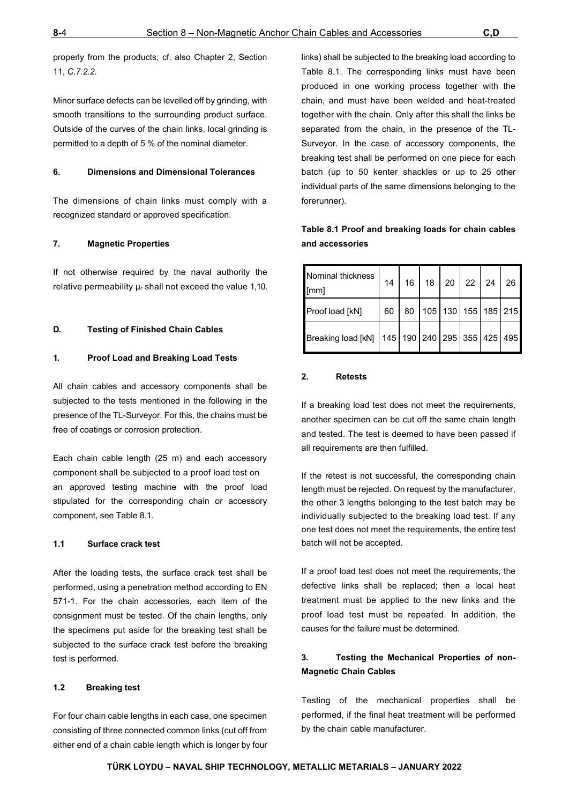properly from the products; cf. also Chapter 2, Section 11, *C.7.2.2.*

Minor surface defects can be levelled off by grinding, with smooth transitions to the surrounding product surface. Outside of the curves of the chain links, local grinding is permitted to a depth of 5 % of the nominal diameter.

#### <span id="page-46-0"></span>**6. Dimensions and Dimensional Tolerances**

The dimensions of chain links must comply with a recognized standard or approved specification.

#### <span id="page-46-1"></span>**7. Magnetic Properties**

If not otherwise required by the naval authority the relative permeability µr shall not exceed the value 1,10.

#### <span id="page-46-2"></span>**D. Testing of Finished Chain Cables**

#### <span id="page-46-3"></span>**1. Proof Load and Breaking Load Tests**

All chain cables and accessory components shall be subjected to the tests mentioned in the following in the presence of the TL-Surveyor. For this, the chains must be free of coatings or corrosion protection.

Each chain cable length (25 m) and each accessory component shall be subjected to a proof load test on an approved testing machine with the proof load stipulated for the corresponding chain or accessory component, see Table 8.1.

#### **1.1 Surface crack test**

After the loading tests, the surface crack test shall be performed, using a penetration method according to EN 571-1. For the chain accessories, each item of the consignment must be tested. Of the chain lengths, only the specimens put aside for the breaking test shall be subjected to the surface crack test before the breaking test is performed.

#### **1.2 Breaking test**

For four chain cable lengths in each case, one specimen consisting of three connected common links (cut off from either end of a chain cable length which is longer by four links) shall be subjected to the breaking load according to Table 8.1. The corresponding links must have been produced in one working process together with the chain, and must have been welded and heat-treated together with the chain. Only after this shall the links be separated from the chain, in the presence of the TL-Surveyor. In the case of accessory components, the breaking test shall be performed on one piece for each batch (up to 50 kenter shackles or up to 25 other individual parts of the same dimensions belonging to the forerunner).

## **Table 8.1 Proof and breaking loads for chain cables and accessories**

| Nominal thickness<br>[mm] | 14 | 16 |  | 18 20 22 24 |                                         | 26 |
|---------------------------|----|----|--|-------------|-----------------------------------------|----|
| Proof load [kN]           | 60 | 80 |  |             | 105   130   155   185   215             |    |
| Breaking load [kN]        |    |    |  |             | 145   190   240   295   355   425   495 |    |

#### <span id="page-46-4"></span>**2. Retests**

If a breaking load test does not meet the requirements, another specimen can be cut off the same chain length and tested. The test is deemed to have been passed if all requirements are then fulfilled.

If the retest is not successful, the corresponding chain length must be rejected. On request by the manufacturer, the other 3 lengths belonging to the test batch may be individually subjected to the breaking load test. If any one test does not meet the requirements, the entire test batch will not be accepted.

If a proof load test does not meet the requirements, the defective links shall be replaced; then a local heat treatment must be applied to the new links and the proof load test must be repeated. In addition, the causes for the failure must be determined.

## <span id="page-46-5"></span>**3. Testing the Mechanical Properties of non-Magnetic Chain Cables**

Testing of the mechanical properties shall be performed, if the final heat treatment will be performed by the chain cable manufacturer.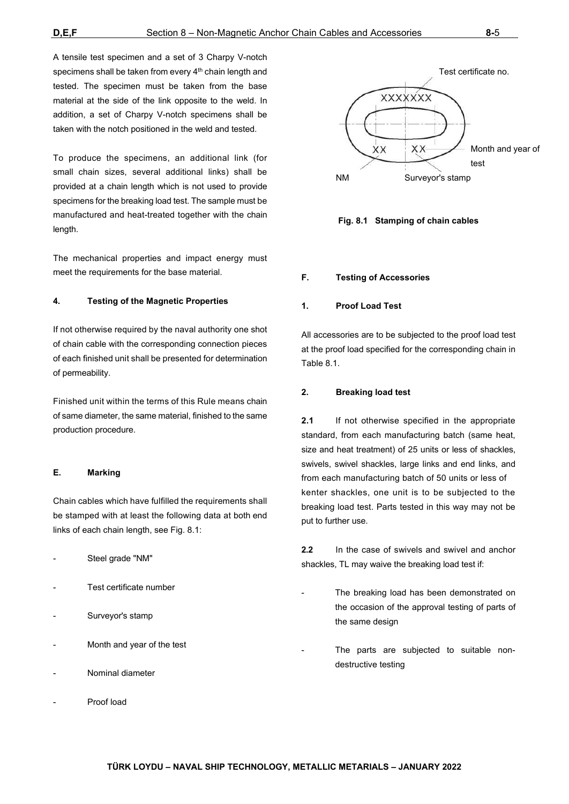A tensile test specimen and a set of 3 Charpy V-notch specimens shall be taken from every 4<sup>th</sup> chain length and tested. The specimen must be taken from the base material at the side of the link opposite to the weld. In addition, a set of Charpy V-notch specimens shall be taken with the notch positioned in the weld and tested.

To produce the specimens, an additional link (for small chain sizes, several additional links) shall be provided at a chain length which is not used to provide specimens for the breaking load test. The sample must be manufactured and heat-treated together with the chain length.

The mechanical properties and impact energy must meet the requirements for the base material.

#### <span id="page-47-0"></span>**4. Testing of the Magnetic Properties**

If not otherwise required by the naval authority one shot of chain cable with the corresponding connection pieces of each finished unit shall be presented for determination of permeability.

Finished unit within the terms of this Rule means chain of same diameter, the same material, finished to the same production procedure.

#### <span id="page-47-1"></span>**E. Marking**

Chain cables which have fulfilled the requirements shall be stamped with at least the following data at both end links of each chain length, see Fig. 8.1:

- Steel grade "NM"
- Test certificate number
- Surveyor's stamp
- Month and year of the test
- Nominal diameter
- Proof load





#### <span id="page-47-2"></span>**F. Testing of Accessories**

#### <span id="page-47-3"></span>**1. Proof Load Test**

All accessories are to be subjected to the proof load test at the proof load specified for the corresponding chain in Table 8.1.

#### <span id="page-47-4"></span>**2. Breaking load test**

**2.1** If not otherwise specified in the appropriate standard, from each manufacturing batch (same heat, size and heat treatment) of 25 units or less of shackles, swivels, swivel shackles, large links and end links, and from each manufacturing batch of 50 units or less of kenter shackles, one unit is to be subjected to the breaking load test. Parts tested in this way may not be put to further use.

**2.2** In the case of swivels and swivel and anchor shackles, TL may waive the breaking load test if:

- The breaking load has been demonstrated on the occasion of the approval testing of parts of the same design
- The parts are subjected to suitable nondestructive testing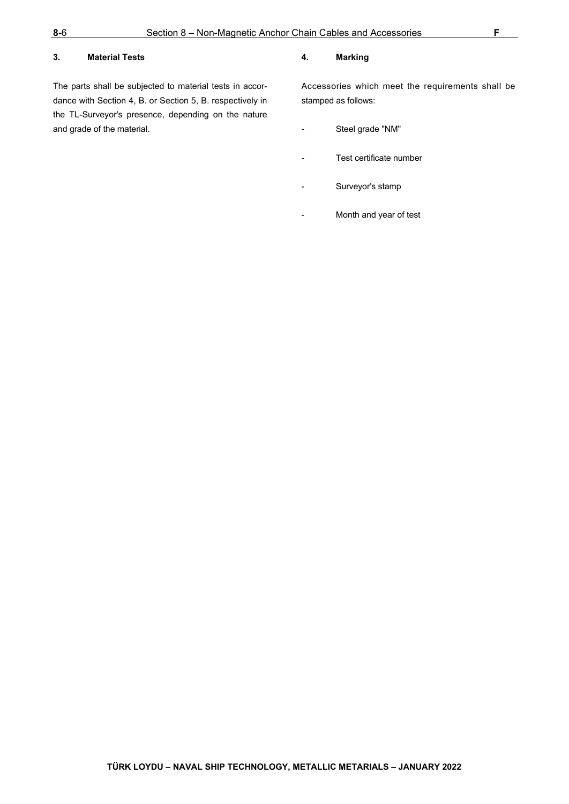## <span id="page-48-0"></span>**3. Material Tests**

The parts shall be subjected to material tests in accordance with Section 4, B. or Section 5, B. respectively in the TL-Surveyor's presence, depending on the nature and grade of the material.

#### <span id="page-48-1"></span>**4. Marking**

Accessories which meet the requirements shall be stamped as follows:

- Steel grade "NM"
- Test certificate number
- Surveyor's stamp
- Month and year of test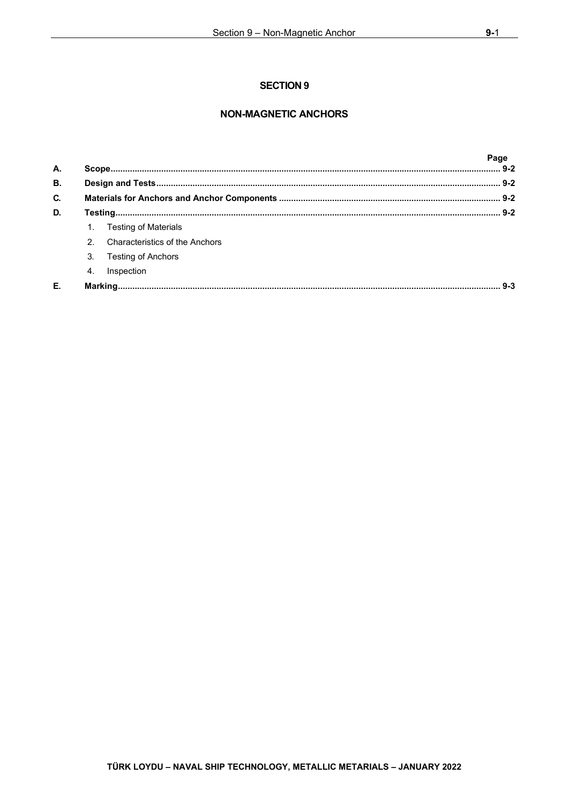## **NON-MAGNETIC ANCHORS**

| A.        |                  |                                | Page |
|-----------|------------------|--------------------------------|------|
| <b>B.</b> |                  |                                |      |
| C.        |                  |                                |      |
| D.        |                  |                                |      |
|           |                  | <b>Testing of Materials</b>    |      |
|           | $\mathcal{P}$    | Characteristics of the Anchors |      |
|           | 3.               | <b>Testing of Anchors</b>      |      |
|           | $\overline{4}$ . | Inspection                     |      |
| Е.        |                  |                                |      |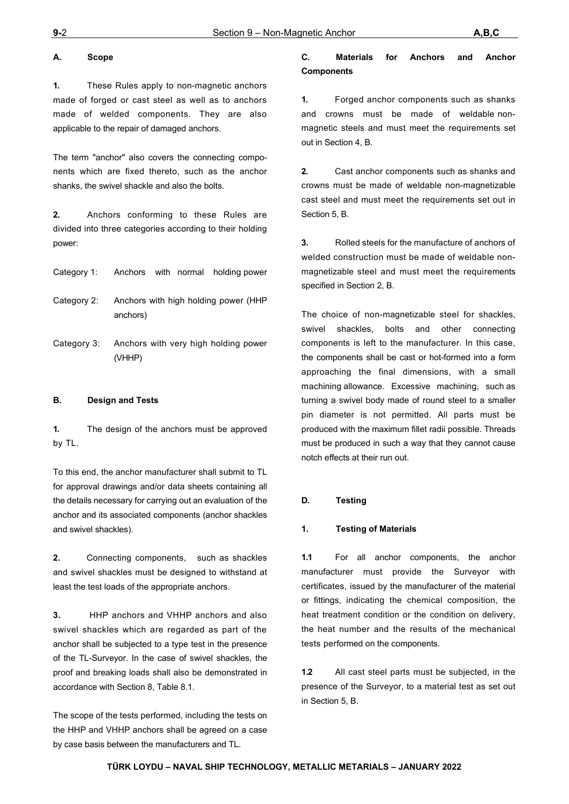## <span id="page-50-0"></span>**A. Scope**

**1.** These Rules apply to non-magnetic anchors made of forged or cast steel as well as to anchors made of welded components. They are also applicable to the repair of damaged anchors.

The term "anchor" also covers the connecting components which are fixed thereto, such as the anchor shanks, the swivel shackle and also the bolts.

**2.** Anchors conforming to these Rules are divided into three categories according to their holding power:

|             | Category 1: Anchors with normal holding power    |
|-------------|--------------------------------------------------|
| Category 2: | Anchors with high holding power (HHP<br>anchors) |
| Category 3: | Anchors with very high holding power<br>(VHHP)   |

## <span id="page-50-1"></span>**B. Design and Tests**

**1.** The design of the anchors must be approved by TL.

To this end, the anchor manufacturer shall submit to TL for approval drawings and/or data sheets containing all the details necessary for carrying out an evaluation of the anchor and its associated components (anchor shackles and swivel shackles).

**2.** Connecting components, such as shackles and swivel shackles must be designed to withstand at least the test loads of the appropriate anchors.

**3.** HHP anchors and VHHP anchors and also swivel shackles which are regarded as part of the anchor shall be subjected to a type test in the presence of the TL-Surveyor. In the case of swivel shackles, the proof and breaking loads shall also be demonstrated in accordance with Section 8, Table 8.1.

The scope of the tests performed, including the tests on the HHP and VHHP anchors shall be agreed on a case by case basis between the manufacturers and TL.

## <span id="page-50-2"></span>**C. Materials for Anchors and Anchor Components**

**1.** Forged anchor components such as shanks and crowns must be made of weldable nonmagnetic steels and must meet the requirements set out in Section 4, B.

**2.** Cast anchor components such as shanks and crowns must be made of weldable non-magnetizable cast steel and must meet the requirements set out in Section 5, B.

**3.** Rolled steels for the manufacture of anchors of welded construction must be made of weldable nonmagnetizable steel and must meet the requirements specified in Section 2, B.

The choice of non-magnetizable steel for shackles, swivel shackles, bolts and other connecting components is left to the manufacturer. In this case, the components shall be cast or hot-formed into a form approaching the final dimensions, with a small machining allowance. Excessive machining, such as turning a swivel body made of round steel to a smaller pin diameter is not permitted. All parts must be produced with the maximum fillet radii possible. Threads must be produced in such a way that they cannot cause notch effects at their run out.

#### <span id="page-50-3"></span>**D. Testing**

#### <span id="page-50-4"></span>**1. Testing of Materials**

**1.1** For all anchor components, the anchor manufacturer must provide the Surveyor with certificates, issued by the manufacturer of the material or fittings, indicating the chemical composition, the heat treatment condition or the condition on delivery, the heat number and the results of the mechanical tests performed on the components.

**1.2** All cast steel parts must be subjected, in the presence of the Surveyor, to a material test as set out in Section 5, B.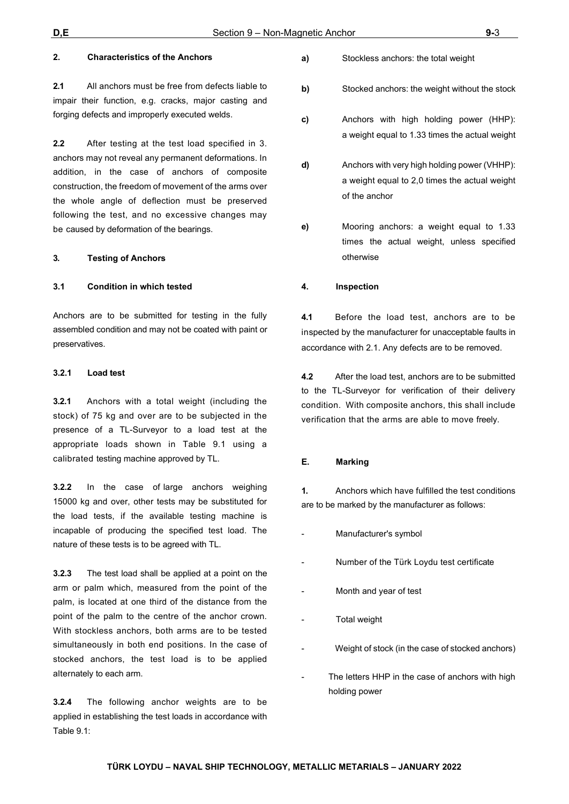### <span id="page-51-0"></span>**2. Characteristics of the Anchors**

**2.1** All anchors must be free from defects liable to impair their function, e.g. cracks, major casting and forging defects and improperly executed welds.

**2.2** After testing at the test load specified in 3. anchors may not reveal any permanent deformations. In addition, in the case of anchors of composite construction, the freedom of movement of the arms over the whole angle of deflection must be preserved following the test, and no excessive changes may be caused by deformation of the bearings.

#### <span id="page-51-1"></span>**3. Testing of Anchors**

#### **3.1 Condition in which tested**

Anchors are to be submitted for testing in the fully assembled condition and may not be coated with paint or preservatives.

#### **3.2.1 Load test**

**3.2.1** Anchors with a total weight (including the stock) of 75 kg and over are to be subjected in the presence of a TL-Surveyor to a load test at the appropriate loads shown in Table 9.1 using a calibrated testing machine approved by TL.

**3.2.2** In the case of large anchors weighing 15000 kg and over, other tests may be substituted for the load tests, if the available testing machine is incapable of producing the specified test load. The nature of these tests is to be agreed with TL.

**3.2.3** The test load shall be applied at a point on the arm or palm which, measured from the point of the palm, is located at one third of the distance from the point of the palm to the centre of the anchor crown. With stockless anchors, both arms are to be tested simultaneously in both end positions. In the case of stocked anchors, the test load is to be applied alternately to each arm.

**3.2.4** The following anchor weights are to be applied in establishing the test loads in accordance with Table 9.1:

- **a)** Stockless anchors: the total weight
- **b)** Stocked anchors: the weight without the stock
- **c)** Anchors with high holding power (HHP): a weight equal to 1.33 times the actual weight
- **d)** Anchors with very high holding power (VHHP): a weight equal to 2,0 times the actual weight of the anchor
- **e)** Mooring anchors: a weight equal to 1.33 times the actual weight, unless specified otherwise

#### <span id="page-51-2"></span>**4. Inspection**

**4.1** Before the load test, anchors are to be inspected by the manufacturer for unacceptable faults in accordance with 2.1. Any defects are to be removed.

**4.2** After the load test, anchors are to be submitted to the TL-Surveyor for verification of their delivery condition. With composite anchors, this shall include verification that the arms are able to move freely.

#### <span id="page-51-3"></span>**E. Marking**

**1.** Anchors which have fulfilled the test conditions are to be marked by the manufacturer as follows:

- Manufacturer's symbol
- Number of the Türk Loydu test certificate
- Month and year of test
- **Total weight**
- Weight of stock (in the case of stocked anchors)
- The letters HHP in the case of anchors with high holding power